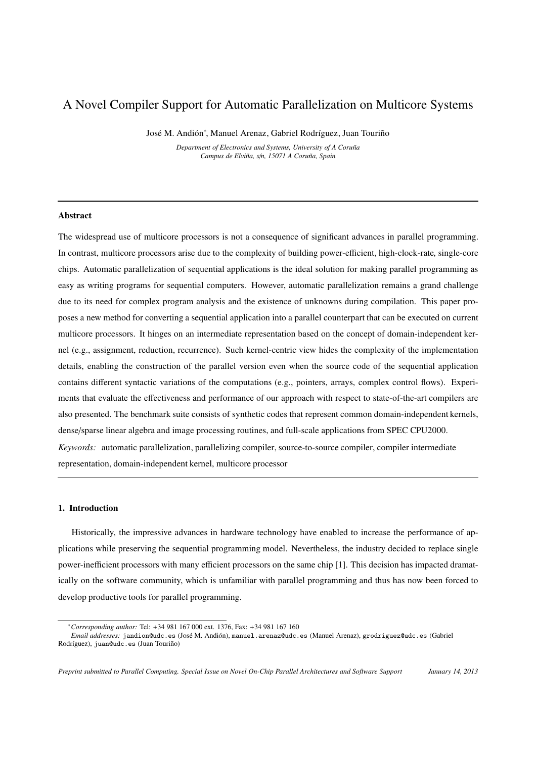# A Novel Compiler Support for Automatic Parallelization on Multicore Systems

José M. Andión\*, Manuel Arenaz, Gabriel Rodríguez, Juan Touriño

*Department of Electronics and Systems, University of A Coruña* Campus de Elviña, s/n, 15071 A Coruña, Spain

# Abstract

The widespread use of multicore processors is not a consequence of significant advances in parallel programming. In contrast, multicore processors arise due to the complexity of building power-efficient, high-clock-rate, single-core chips. Automatic parallelization of sequential applications is the ideal solution for making parallel programming as easy as writing programs for sequential computers. However, automatic parallelization remains a grand challenge due to its need for complex program analysis and the existence of unknowns during compilation. This paper proposes a new method for converting a sequential application into a parallel counterpart that can be executed on current multicore processors. It hinges on an intermediate representation based on the concept of domain-independent kernel (e.g., assignment, reduction, recurrence). Such kernel-centric view hides the complexity of the implementation details, enabling the construction of the parallel version even when the source code of the sequential application contains different syntactic variations of the computations (e.g., pointers, arrays, complex control flows). Experiments that evaluate the effectiveness and performance of our approach with respect to state-of-the-art compilers are also presented. The benchmark suite consists of synthetic codes that represent common domain-independent kernels, dense/sparse linear algebra and image processing routines, and full-scale applications from SPEC CPU2000. *Keywords:* automatic parallelization, parallelizing compiler, source-to-source compiler, compiler intermediate

representation, domain-independent kernel, multicore processor

# 1. Introduction

Historically, the impressive advances in hardware technology have enabled to increase the performance of applications while preserving the sequential programming model. Nevertheless, the industry decided to replace single power-inefficient processors with many efficient processors on the same chip [1]. This decision has impacted dramatically on the software community, which is unfamiliar with parallel programming and thus has now been forced to develop productive tools for parallel programming.

<sup>∗</sup>*Corresponding author:* Tel: +34 981 167 000 ext. 1376, Fax: +34 981 167 160

*Email addresses:* jandion@udc.es (José M. Andión), manuel.arenaz@udc.es (Manuel Arenaz), grodriguez@udc.es (Gabriel Rodríguez), juan@udc.es (Juan Touriño)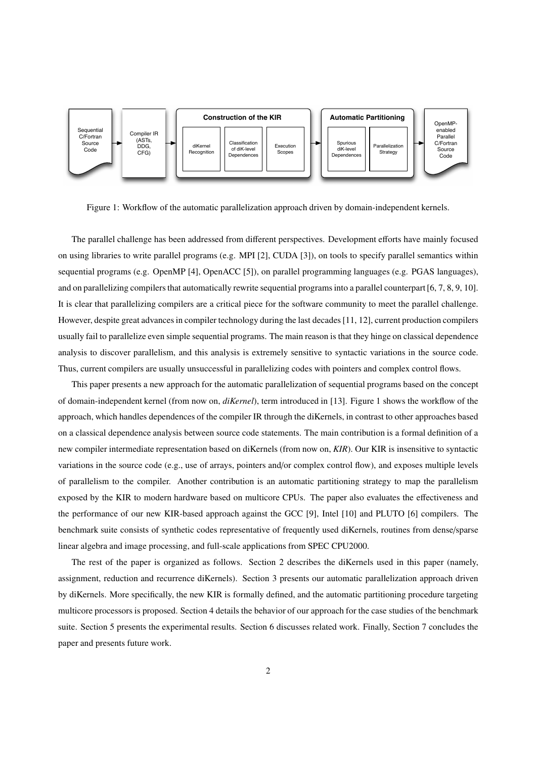

Figure 1: Workflow of the automatic parallelization approach driven by domain-independent kernels.

The parallel challenge has been addressed from different perspectives. Development efforts have mainly focused on using libraries to write parallel programs (e.g. MPI [2], CUDA [3]), on tools to specify parallel semantics within sequential programs (e.g. OpenMP [4], OpenACC [5]), on parallel programming languages (e.g. PGAS languages), and on parallelizing compilers that automatically rewrite sequential programs into a parallel counterpart [6, 7, 8, 9, 10]. It is clear that parallelizing compilers are a critical piece for the software community to meet the parallel challenge. However, despite great advances in compiler technology during the last decades [11, 12], current production compilers usually fail to parallelize even simple sequential programs. The main reason is that they hinge on classical dependence analysis to discover parallelism, and this analysis is extremely sensitive to syntactic variations in the source code. Thus, current compilers are usually unsuccessful in parallelizing codes with pointers and complex control flows.

This paper presents a new approach for the automatic parallelization of sequential programs based on the concept of domain-independent kernel (from now on, *diKernel*), term introduced in [13]. Figure 1 shows the workflow of the approach, which handles dependences of the compiler IR through the diKernels, in contrast to other approaches based on a classical dependence analysis between source code statements. The main contribution is a formal definition of a new compiler intermediate representation based on diKernels (from now on, *KIR*). Our KIR is insensitive to syntactic variations in the source code (e.g., use of arrays, pointers and/or complex control flow), and exposes multiple levels of parallelism to the compiler. Another contribution is an automatic partitioning strategy to map the parallelism exposed by the KIR to modern hardware based on multicore CPUs. The paper also evaluates the effectiveness and the performance of our new KIR-based approach against the GCC [9], Intel [10] and PLUTO [6] compilers. The benchmark suite consists of synthetic codes representative of frequently used diKernels, routines from dense/sparse linear algebra and image processing, and full-scale applications from SPEC CPU2000.

The rest of the paper is organized as follows. Section 2 describes the diKernels used in this paper (namely, assignment, reduction and recurrence diKernels). Section 3 presents our automatic parallelization approach driven by diKernels. More specifically, the new KIR is formally defined, and the automatic partitioning procedure targeting multicore processors is proposed. Section 4 details the behavior of our approach for the case studies of the benchmark suite. Section 5 presents the experimental results. Section 6 discusses related work. Finally, Section 7 concludes the paper and presents future work.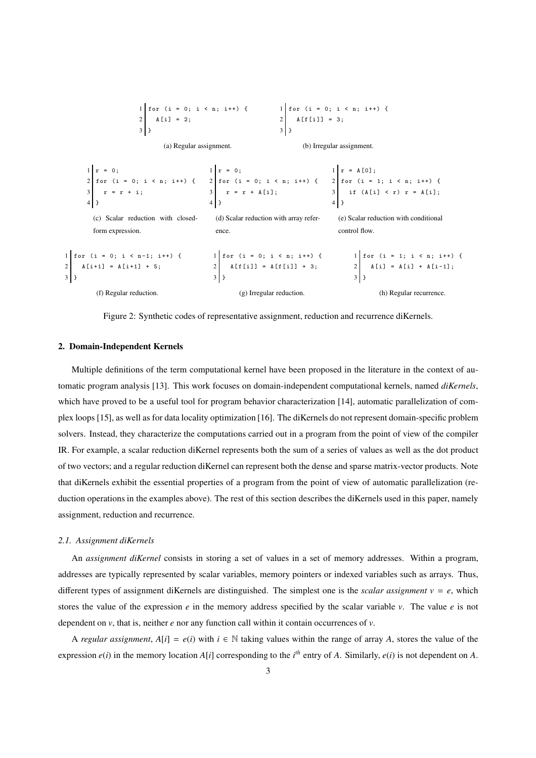$1 \mid for \ (i = 0; i < n; i++)$  {  $2$  | A [i] = 2; 3 } (a) Regular assignment.  $1$  for (i = 0; i < n; i++) {  $2$  | A [f[i]] = 3; 3 } (b) Irregular assignment.  $1 r = 0;$ 2 for (i = 0; i < n; i ++) {  $3 \rceil$  r = r + i; 4 } (c) Scalar reduction with closedform expression.  $1 r = 0;$ 2 for ( i = 0; i < n; i ++) {  $3 \, | \, r = r + A[i];$ 4 } (d) Scalar reduction with array reference.  $1 r = A[0];$ 2 for (i = 1; i < n; i ++) {  $3$  if  $(A[i] < r)$   $r = A[i];$ 4 } (e) Scalar reduction with conditional control flow.  $1 \mid for \ (i = 0; i < n-1; i++)$  {  $2$  | A[i + 1] = A[i + 1] + 5; 3 } (f) Regular reduction.  $1 \mid for \ (i = 0; i < n; i++)$  {  $2$  | A[f[i]] = A[f[i]] + 3; 3 } (g) Irregular reduction. 1 for (i = 1; i < n; i ++) {  $2$  | A[i] = A[i] + A[i-1]; 3 } (h) Regular recurrence.

Figure 2: Synthetic codes of representative assignment, reduction and recurrence diKernels.

#### 2. Domain-Independent Kernels

Multiple definitions of the term computational kernel have been proposed in the literature in the context of automatic program analysis [13]. This work focuses on domain-independent computational kernels, named *diKernels*, which have proved to be a useful tool for program behavior characterization [14], automatic parallelization of complex loops [15], as well as for data locality optimization [16]. The diKernels do not represent domain-specific problem solvers. Instead, they characterize the computations carried out in a program from the point of view of the compiler IR. For example, a scalar reduction diKernel represents both the sum of a series of values as well as the dot product of two vectors; and a regular reduction diKernel can represent both the dense and sparse matrix-vector products. Note that diKernels exhibit the essential properties of a program from the point of view of automatic parallelization (reduction operations in the examples above). The rest of this section describes the diKernels used in this paper, namely assignment, reduction and recurrence.

## *2.1. Assignment diKernels*

An *assignment diKernel* consists in storing a set of values in a set of memory addresses. Within a program, addresses are typically represented by scalar variables, memory pointers or indexed variables such as arrays. Thus, different types of assignment diKernels are distinguished. The simplest one is the *scalar assignment*  $v = e$ , which stores the value of the expression *e* in the memory address specified by the scalar variable *v*. The value *e* is not dependent on  $\nu$ , that is, neither  $e$  nor any function call within it contain occurrences of  $\nu$ .

A *regular assignment*,  $A[i] = e(i)$  with  $i \in \mathbb{N}$  taking values within the range of array A, stores the value of the expression  $e(i)$  in the memory location  $A[i]$  corresponding to the  $i<sup>th</sup>$  entry of *A*. Similarly,  $e(i)$  is not dependent on *A*.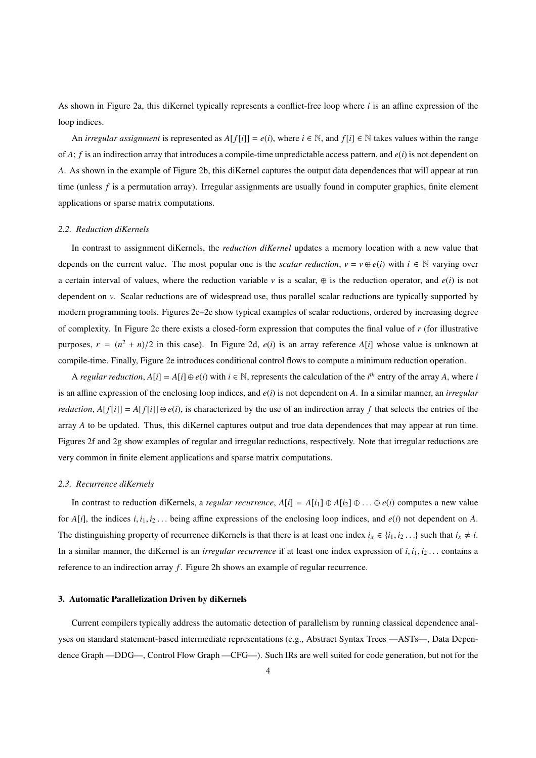As shown in Figure 2a, this diKernel typically represents a conflict-free loop where *i* is an affine expression of the loop indices.

An *irregular assignment* is represented as  $A[f[i]] = e(i)$ , where  $i \in \mathbb{N}$ , and  $f[i] \in \mathbb{N}$  takes values within the range of *A*; *f* is an indirection array that introduces a compile-time unpredictable access pattern, and  $e(i)$  is not dependent on *A*. As shown in the example of Figure 2b, this diKernel captures the output data dependences that will appear at run time (unless *f* is a permutation array). Irregular assignments are usually found in computer graphics, finite element applications or sparse matrix computations.

#### *2.2. Reduction diKernels*

In contrast to assignment diKernels, the *reduction diKernel* updates a memory location with a new value that depends on the current value. The most popular one is the *scalar reduction*,  $v = v \oplus e(i)$  with  $i \in \mathbb{N}$  varying over a certain interval of values, where the reduction variable *v* is a scalar,  $\oplus$  is the reduction operator, and *e*(*i*) is not dependent on *v*. Scalar reductions are of widespread use, thus parallel scalar reductions are typically supported by modern programming tools. Figures 2c–2e show typical examples of scalar reductions, ordered by increasing degree of complexity. In Figure 2c there exists a closed-form expression that computes the final value of *r* (for illustrative purposes,  $r = (n^2 + n)/2$  in this case). In Figure 2d,  $e(i)$  is an array reference  $A[i]$  whose value is unknown at compile-time. Finally, Figure 2e introduces conditional control flows to compute a minimum reduction operation.

A *regular reduction*,  $A[i] = A[i] \oplus e(i)$  with  $i \in \mathbb{N}$ , represents the calculation of the *i*<sup>th</sup> entry of the array *A*, where *i* is an affine expression of the enclosing loop indices, and *e*(*i*) is not dependent on *A*. In a similar manner, an *irregular reduction*,  $A[f[i]] = A[f[i]] \oplus e(i)$ , is characterized by the use of an indirection array *f* that selects the entries of the array *A* to be updated. Thus, this diKernel captures output and true data dependences that may appear at run time. Figures 2f and 2g show examples of regular and irregular reductions, respectively. Note that irregular reductions are very common in finite element applications and sparse matrix computations.

#### *2.3. Recurrence diKernels*

In contrast to reduction diKernels, a *regular recurrence*,  $A[i] = A[i_1] \oplus A[i_2] \oplus \ldots \oplus e(i)$  computes a new value for  $A[i]$ , the indices  $i, i_1, i_2, \ldots$  being affine expressions of the enclosing loop indices, and  $e(i)$  not dependent on  $A$ . The distinguishing property of recurrence diKernels is that there is at least one index  $i_x \in \{i_1, i_2, \ldots\}$  such that  $i_x \neq i$ . In a similar manner, the diKernel is an *irregular recurrence* if at least one index expression of *i*, *i*1, *i*<sup>2</sup> . . . contains a reference to an indirection array *f*. Figure 2h shows an example of regular recurrence.

# 3. Automatic Parallelization Driven by diKernels

Current compilers typically address the automatic detection of parallelism by running classical dependence analyses on standard statement-based intermediate representations (e.g., Abstract Syntax Trees —ASTs—, Data Dependence Graph —DDG—, Control Flow Graph —CFG—). Such IRs are well suited for code generation, but not for the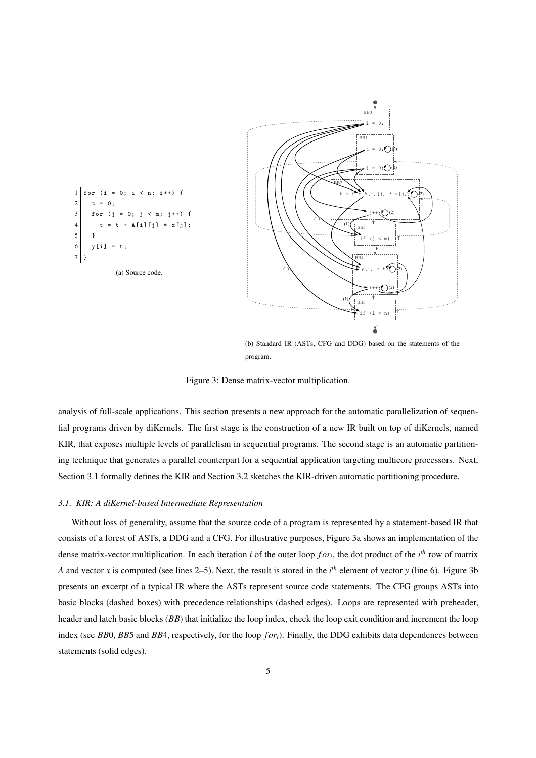

(a) Source code.



(b) Standard IR (ASTs, CFG and DDG) based on the statements of the program.

Figure 3: Dense matrix-vector multiplication.

analysis of full-scale applications. This section presents a new approach for the automatic parallelization of sequential programs driven by diKernels. The first stage is the construction of a new IR built on top of diKernels, named KIR, that exposes multiple levels of parallelism in sequential programs. The second stage is an automatic partitioning technique that generates a parallel counterpart for a sequential application targeting multicore processors. Next, Section 3.1 formally defines the KIR and Section 3.2 sketches the KIR-driven automatic partitioning procedure.

# *3.1. KIR: A diKernel-based Intermediate Representation*

Without loss of generality, assume that the source code of a program is represented by a statement-based IR that consists of a forest of ASTs, a DDG and a CFG. For illustrative purposes, Figure 3a shows an implementation of the dense matrix-vector multiplication. In each iteration *i* of the outer loop *f or<sup>i</sup>* , the dot product of the *i th* row of matrix *A* and vector *x* is computed (see lines 2–5). Next, the result is stored in the *i th* element of vector *y* (line 6). Figure 3b presents an excerpt of a typical IR where the ASTs represent source code statements. The CFG groups ASTs into basic blocks (dashed boxes) with precedence relationships (dashed edges). Loops are represented with preheader, header and latch basic blocks (*BB*) that initialize the loop index, check the loop exit condition and increment the loop index (see *BB*0, *BB*5 and *BB*4, respectively, for the loop *for<sub>i</sub>*). Finally, the DDG exhibits data dependences between statements (solid edges).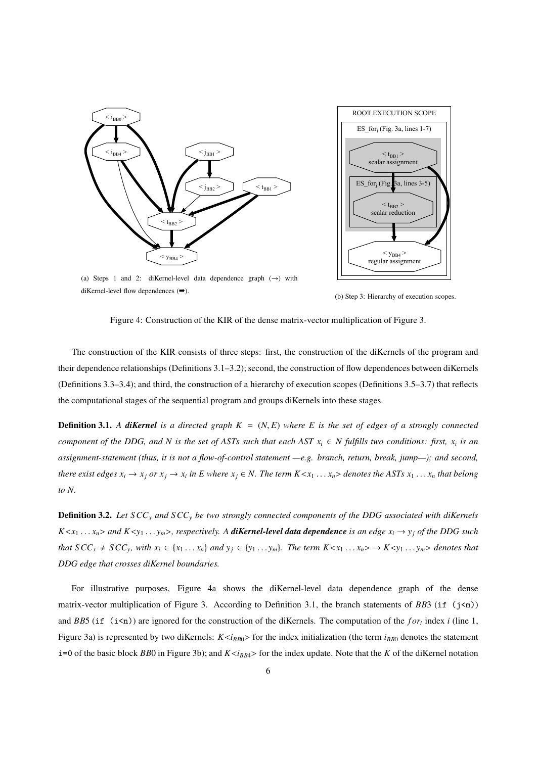



(a) Steps 1 and 2: diKernel-level data dependence graph  $(\rightarrow)$  with diKernel-level flow dependences (➡).

(b) Step 3: Hierarchy of execution scopes.

Figure 4: Construction of the KIR of the dense matrix-vector multiplication of Figure 3.

The construction of the KIR consists of three steps: first, the construction of the diKernels of the program and their dependence relationships (Definitions 3.1–3.2); second, the construction of flow dependences between diKernels (Definitions 3.3–3.4); and third, the construction of a hierarchy of execution scopes (Definitions 3.5–3.7) that reflects the computational stages of the sequential program and groups diKernels into these stages.

**Definition 3.1.** A **diKernel** is a directed graph  $K = (N, E)$  where E is the set of edges of a strongly connected *component of the DDG, and N is the set of ASTs such that each AST x<sup>i</sup>* ∈ *N fulfills two conditions: first, x<sup>i</sup> is an assignment-statement (thus, it is not a flow-of-control statement —e.g. branch, return, break, jump—); and second,* there exist edges  $x_i \to x_j$  or  $x_j \to x_i$  in E where  $x_j \in N$ . The term  $K < x_1 \dots x_n$ > denotes the ASTs  $x_1 \dots x_n$  that belong *to N.*

Definition 3.2. *Let S CC<sup>x</sup> and S CC<sup>y</sup> be two strongly connected components of the DDG associated with diKernels*  $K < x_1 \ldots x_n$  and  $K < y_1 \ldots y_m$ , respectively. A **diKernel-level data dependence** is an edge  $x_i \rightarrow y_j$  of the DDG such that  $SCC_x \neq SCC_y$ , with  $x_i \in \{x_1 \dots x_n\}$  and  $y_j \in \{y_1 \dots y_m\}$ . The term  $K \leq x_1 \dots x_n \geq K \leq y_1 \dots y_m$  denotes that *DDG edge that crosses diKernel boundaries.*

For illustrative purposes, Figure 4a shows the diKernel-level data dependence graph of the dense matrix-vector multiplication of Figure 3. According to Definition 3.1, the branch statements of *BB*3 (if  $(j \le m)$ ) and *BB*5 (if  $(i \le n)$ ) are ignored for the construction of the diKernels. The computation of the *for<sub>i</sub>* index *i* (line 1, Figure 3a) is represented by two diKernels:  $K \langle i_{BB0} \rangle$  for the index initialization (the term  $i_{BB0}$  denotes the statement i=0 of the basic block *BB*0 in Figure 3b); and  $K \lt i_{BB4}$  for the index update. Note that the *K* of the diKernel notation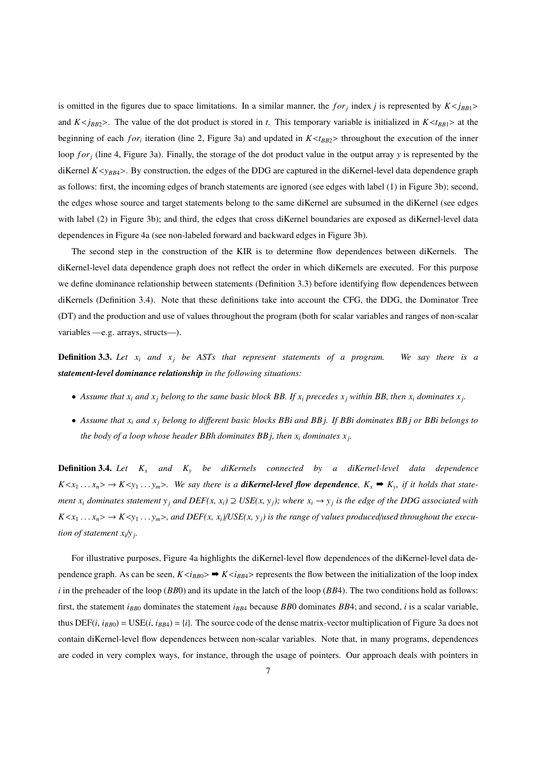is omitted in the figures due to space limitations. In a similar manner, the  $for_j$  index *j* is represented by  $K < j_{BB1}$ and  $K \lt j_{BB2}$ . The value of the dot product is stored in *t*. This temporary variable is initialized in  $K \lt t_{BB1}$  at the beginning of each  $for_i$  iteration (line 2, Figure 3a) and updated in  $K \lt t_{BB2}$  throughout the execution of the inner loop *for*<sub>*j*</sub> (line 4, Figure 3a). Finally, the storage of the dot product value in the output array *y* is represented by the diKernel  $K < y_{BB4}$ >. By construction, the edges of the DDG are captured in the diKernel-level data dependence graph as follows: first, the incoming edges of branch statements are ignored (see edges with label (1) in Figure 3b); second, the edges whose source and target statements belong to the same diKernel are subsumed in the diKernel (see edges with label (2) in Figure 3b); and third, the edges that cross diKernel boundaries are exposed as diKernel-level data dependences in Figure 4a (see non-labeled forward and backward edges in Figure 3b).

The second step in the construction of the KIR is to determine flow dependences between diKernels. The diKernel-level data dependence graph does not reflect the order in which diKernels are executed. For this purpose we define dominance relationship between statements (Definition 3.3) before identifying flow dependences between diKernels (Definition 3.4). Note that these definitions take into account the CFG, the DDG, the Dominator Tree (DT) and the production and use of values throughout the program (both for scalar variables and ranges of non-scalar variables —e.g. arrays, structs—).

Definition 3.3. *Let x<sup>i</sup> and x<sup>j</sup> be ASTs that represent statements of a program. We say there is a statement-level dominance relationship in the following situations:*

- *Assume that x<sup>i</sup> and x<sup>j</sup> belong to the same basic block BB. If x<sup>i</sup> precedes x<sup>j</sup> within BB, then x<sup>i</sup> dominates x<sup>j</sup> .*
- *Assume that x<sup>i</sup> and x<sup>j</sup> belong to di*ff*erent basic blocks BBi and BB j. If BBi dominates BB j or BBi belongs to the body of a loop whose header BBh dominates BB j, then x<sup>i</sup> dominates x<sup>j</sup> .*

Definition 3.4. *Let K<sup>x</sup> and K<sup>y</sup> be diKernels connected by a diKernel-level data dependence*  $K < x_1 \ldots x_n$   $\rightarrow K < y_1 \ldots y_m$  >. We say there is a **diKernel-level flow dependence**,  $K_x \rightarrow K_y$ , if it holds that state*ment*  $x_i$  *dominates statement*  $y_j$  *and*  $DEF(x, x_i) \supseteq \text{USE}(x, y_j)$ ; where  $x_i \rightarrow y_j$  is the edge of the DDG associated with  $K < x_1 \ldots x_n > \rightarrow K < y_1 \ldots y_m >$ , and DEF(x, x<sub>i</sub>)/*USE*(x, y<sub>i</sub>) is the range of values produced/*used throughout the execution of statement x<sup>i</sup>* /*yj .*

For illustrative purposes, Figure 4a highlights the diKernel-level flow dependences of the diKernel-level data dependence graph. As can be seen,  $K \langle i_{BB0} \rangle \rightarrow K \langle i_{BB4} \rangle$  represents the flow between the initialization of the loop index *i* in the preheader of the loop (*BB*0) and its update in the latch of the loop (*BB*4). The two conditions hold as follows: first, the statement  $i_{BB0}$  dominates the statement  $i_{BB4}$  because *BB*0 dominates *BB*4; and second, *i* is a scalar variable, thus DEF( $i$ ,  $i_{BB0}$ ) = USE( $i$ ,  $i_{BB4}$ ) = { $i$ }. The source code of the dense matrix-vector multiplication of Figure 3a does not contain diKernel-level flow dependences between non-scalar variables. Note that, in many programs, dependences are coded in very complex ways, for instance, through the usage of pointers. Our approach deals with pointers in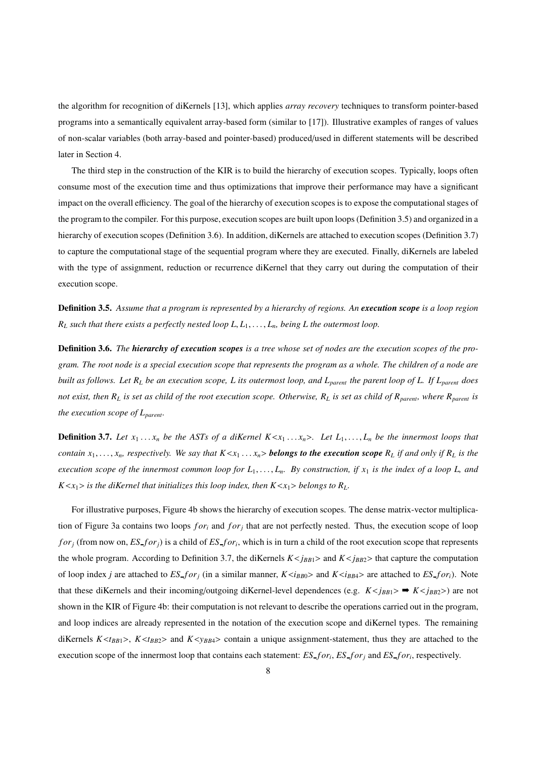the algorithm for recognition of diKernels [13], which applies *array recovery* techniques to transform pointer-based programs into a semantically equivalent array-based form (similar to [17]). Illustrative examples of ranges of values of non-scalar variables (both array-based and pointer-based) produced/used in different statements will be described later in Section 4.

The third step in the construction of the KIR is to build the hierarchy of execution scopes. Typically, loops often consume most of the execution time and thus optimizations that improve their performance may have a significant impact on the overall efficiency. The goal of the hierarchy of execution scopes is to expose the computational stages of the program to the compiler. For this purpose, execution scopes are built upon loops (Definition 3.5) and organized in a hierarchy of execution scopes (Definition 3.6). In addition, diKernels are attached to execution scopes (Definition 3.7) to capture the computational stage of the sequential program where they are executed. Finally, diKernels are labeled with the type of assignment, reduction or recurrence diKernel that they carry out during the computation of their execution scope.

Definition 3.5. *Assume that a program is represented by a hierarchy of regions. An execution scope is a loop region*  $R_L$  *such that there exists a perfectly nested loop*  $L, L_1, \ldots, L_n$ *, being L the outermost loop.* 

Definition 3.6. *The hierarchy of execution scopes is a tree whose set of nodes are the execution scopes of the program. The root node is a special execution scope that represents the program as a whole. The children of a node are built as follows. Let R<sup>L</sup> be an execution scope, L its outermost loop, and Lparent the parent loop of L. If Lparent does not exist, then R<sup>L</sup> is set as child of the root execution scope. Otherwise, R<sup>L</sup> is set as child of Rparent, where Rparent is the execution scope of Lparent.*

**Definition 3.7.** Let  $x_1 \ldots x_n$  be the ASTs of a diKernel  $K \leq x_1 \ldots x_n$ >. Let  $L_1, \ldots, L_n$  be the innermost loops that *contain*  $x_1, \ldots, x_n$ *, respectively. We say that*  $K \le x_1 \ldots x_n$  *belongs to the execution scope*  $R_L$  *if and only if*  $R_L$  *is the execution scope of the innermost common loop for*  $L_1, \ldots, L_n$ *. By construction, if*  $x_1$  *is the index of a loop*  $L$ *, and*  $K < x_1$  is the diKernel that initializes this loop index, then  $K < x_1$  belongs to  $R_L$ *.* 

For illustrative purposes, Figure 4b shows the hierarchy of execution scopes. The dense matrix-vector multiplication of Figure 3a contains two loops  $for_i$  and  $for_j$  that are not perfectly nested. Thus, the execution scope of loop *f or<sup>j</sup>* (from now on, *ES f orj*) is a child of *ES f or<sup>i</sup>* , which is in turn a child of the root execution scope that represents the whole program. According to Definition 3.7, the diKernels  $K \leq j_{BB}$  and  $K \leq j_{BB}$  that capture the computation of loop index *j* are attached to  $ES\_for_j$  (in a similar manner,  $K < i_{BB0} >$  and  $K < i_{BB4} >$  are attached to  $ES\_for_i$ ). Note that these diKernels and their incoming/outgoing diKernel-level dependences (e.g.  $K \lt j_{BB1} > \rightarrow K \lt j_{BB2}$ ) are not shown in the KIR of Figure 4b: their computation is not relevant to describe the operations carried out in the program, and loop indices are already represented in the notation of the execution scope and diKernel types. The remaining diKernels  $K < t_{BB}$ ,  $K < t_{BB2}$  and  $K < y_{BB4}$  contain a unique assignment-statement, thus they are attached to the execution scope of the innermost loop that contains each statement: *ES f or<sup>i</sup>* , *ES f or<sup>j</sup>* and *ES f or<sup>i</sup>* , respectively.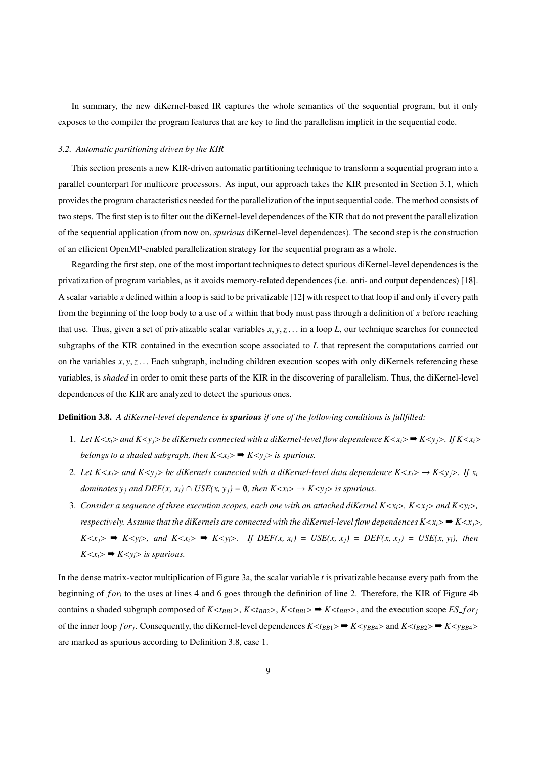In summary, the new diKernel-based IR captures the whole semantics of the sequential program, but it only exposes to the compiler the program features that are key to find the parallelism implicit in the sequential code.

## *3.2. Automatic partitioning driven by the KIR*

This section presents a new KIR-driven automatic partitioning technique to transform a sequential program into a parallel counterpart for multicore processors. As input, our approach takes the KIR presented in Section 3.1, which provides the program characteristics needed for the parallelization of the input sequential code. The method consists of two steps. The first step is to filter out the diKernel-level dependences of the KIR that do not prevent the parallelization of the sequential application (from now on, *spurious* diKernel-level dependences). The second step is the construction of an efficient OpenMP-enabled parallelization strategy for the sequential program as a whole.

Regarding the first step, one of the most important techniques to detect spurious diKernel-level dependences is the privatization of program variables, as it avoids memory-related dependences (i.e. anti- and output dependences) [18]. A scalar variable *x* defined within a loop is said to be privatizable [12] with respect to that loop if and only if every path from the beginning of the loop body to a use of *x* within that body must pass through a definition of *x* before reaching that use. Thus, given a set of privatizable scalar variables  $x, y, z...$  in a loop  $L$ , our technique searches for connected subgraphs of the KIR contained in the execution scope associated to *L* that represent the computations carried out on the variables *x*, *y*,*z*. . . Each subgraph, including children execution scopes with only diKernels referencing these variables, is *shaded* in order to omit these parts of the KIR in the discovering of parallelism. Thus, the diKernel-level dependences of the KIR are analyzed to detect the spurious ones.

Definition 3.8. *A diKernel-level dependence is spurious if one of the following conditions is fullfilled:*

- 1. Let  $K \leq x_i$  and  $K \leq y_i$  be diKernels connected with a diKernel-level flow dependence  $K \leq x_i$   $\Rightarrow$   $K \leq y_i$ . If  $K \leq x_i$ *belongs to a shaded subgraph, then*  $K < x_i$   $\Rightarrow K < y_j$  *is spurious.*
- 2. Let  $K \leq x_i >$  and  $K \leq y_i >$  be diKernels connected with a diKernel-level data dependence  $K \leq x_i >$   $\rightarrow$   $K \leq y_i >$ . If  $x_i$ *dominates y<sub>j</sub> and DEF(x, x<sub>i</sub></sub>)* ∩ *USE(x, y<sub>i</sub>)* =  $\emptyset$ *, then K<x<sub>i</sub>>*  $\rightarrow$  *<i>K*<*y<sub>i</sub>*> *is spurious.*
- 3. *Consider a sequence of three execution scopes, each one with an attached diKernel*  $K \lt x_i > K \lt x_j$  *and*  $K \lt y_i > K$ *, respectively.* Assume that the diKernels are connected with the diKernel-level flow dependences  $K < x_i$   $\Rightarrow K < x_j$ ,  $K \langle x_i \rangle \rightarrow K \langle y_i \rangle$ , and  $K \langle x_i \rangle \rightarrow K \langle y_i \rangle$ . If  $DEF(x, x_i) = USE(x, x_i) = DEF(x, x_i) = USE(x, y_i)$ , then  $K \langle x_i \rangle \rightarrow K \langle y_i \rangle$  *is spurious.*

In the dense matrix-vector multiplication of Figure 3a, the scalar variable *t* is privatizable because every path from the beginning of  $for_i$  to the uses at lines 4 and 6 goes through the definition of line 2. Therefore, the KIR of Figure 4b contains a shaded subgraph composed of  $K < t_{BB1} > K < t_{BB2} > K < t_{BB1} > \rightarrow K < t_{BB2} >$ , and the execution scope *ES\_for<sub>j</sub>* of the inner loop *for*<sub>*j*</sub>. Consequently, the diKernel-level dependences  $K < t_{BB1} > \rightarrow K < y_{BB4} >$  and  $K < t_{BB2} > \rightarrow K < y_{BB4} >$ are marked as spurious according to Definition 3.8, case 1.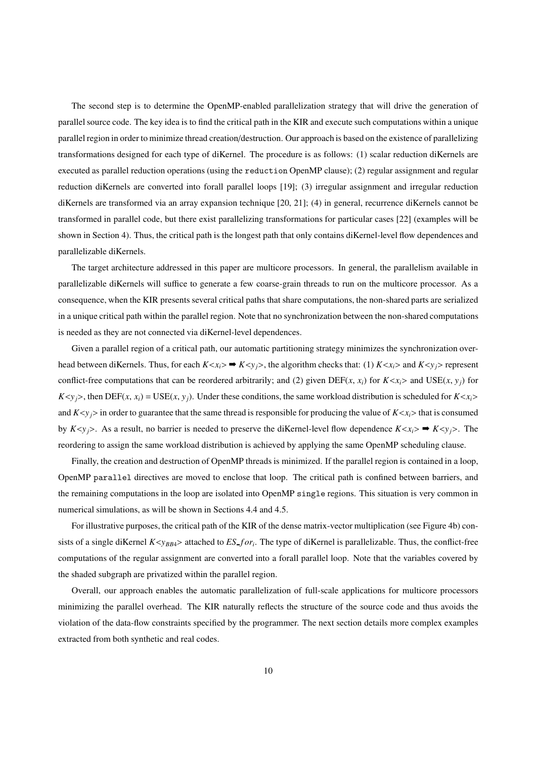The second step is to determine the OpenMP-enabled parallelization strategy that will drive the generation of parallel source code. The key idea is to find the critical path in the KIR and execute such computations within a unique parallel region in order to minimize thread creation/destruction. Our approach is based on the existence of parallelizing transformations designed for each type of diKernel. The procedure is as follows: (1) scalar reduction diKernels are executed as parallel reduction operations (using the reduction OpenMP clause); (2) regular assignment and regular reduction diKernels are converted into forall parallel loops [19]; (3) irregular assignment and irregular reduction diKernels are transformed via an array expansion technique [20, 21]; (4) in general, recurrence diKernels cannot be transformed in parallel code, but there exist parallelizing transformations for particular cases [22] (examples will be shown in Section 4). Thus, the critical path is the longest path that only contains diKernel-level flow dependences and parallelizable diKernels.

The target architecture addressed in this paper are multicore processors. In general, the parallelism available in parallelizable diKernels will suffice to generate a few coarse-grain threads to run on the multicore processor. As a consequence, when the KIR presents several critical paths that share computations, the non-shared parts are serialized in a unique critical path within the parallel region. Note that no synchronization between the non-shared computations is needed as they are not connected via diKernel-level dependences.

Given a parallel region of a critical path, our automatic partitioning strategy minimizes the synchronization overhead between diKernels. Thus, for each  $K \le x_i > \implies K \le y_j$ , the algorithm checks that: (1)  $K \le x_i >$  and  $K \le y_j >$  represent conflict-free computations that can be reordered arbitrarily; and (2) given DEF(*x*,  $x_i$ ) for  $K < x_i$  and USE(*x*,  $y_i$ ) for  $K \lt y_i$ , then DEF(*x*, *x<sub>i</sub>*) = USE(*x*, *y<sub>i</sub>*). Under these conditions, the same workload distribution is scheduled for  $K \lt x_i$ and  $K \leq y_i$  in order to guarantee that the same thread is responsible for producing the value of  $K \leq x_i$  that is consumed by  $K \leq y_i$ . As a result, no barrier is needed to preserve the diKernel-level flow dependence  $K \leq x_i$ . The reordering to assign the same workload distribution is achieved by applying the same OpenMP scheduling clause.

Finally, the creation and destruction of OpenMP threads is minimized. If the parallel region is contained in a loop, OpenMP parallel directives are moved to enclose that loop. The critical path is confined between barriers, and the remaining computations in the loop are isolated into OpenMP single regions. This situation is very common in numerical simulations, as will be shown in Sections 4.4 and 4.5.

For illustrative purposes, the critical path of the KIR of the dense matrix-vector multiplication (see Figure 4b) consists of a single diKernel  $K < y_{BB4}$  attached to  $ES\_for_i$ . The type of diKernel is parallelizable. Thus, the conflict-free computations of the regular assignment are converted into a forall parallel loop. Note that the variables covered by the shaded subgraph are privatized within the parallel region.

Overall, our approach enables the automatic parallelization of full-scale applications for multicore processors minimizing the parallel overhead. The KIR naturally reflects the structure of the source code and thus avoids the violation of the data-flow constraints specified by the programmer. The next section details more complex examples extracted from both synthetic and real codes.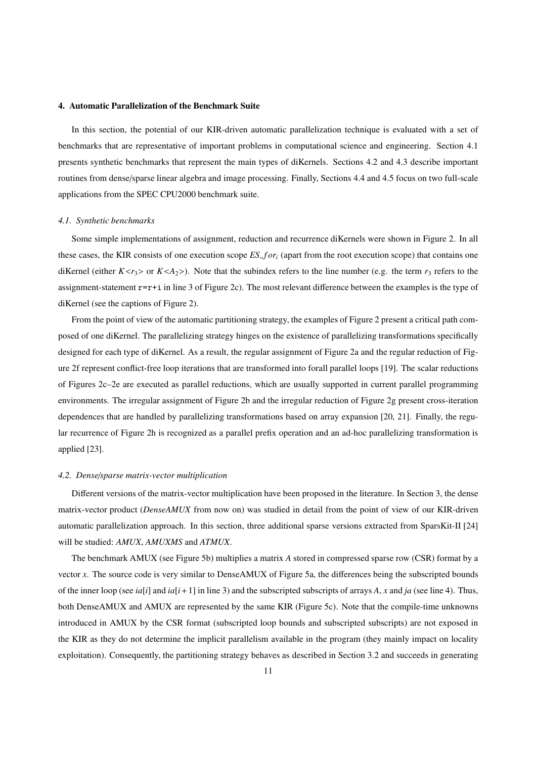# 4. Automatic Parallelization of the Benchmark Suite

In this section, the potential of our KIR-driven automatic parallelization technique is evaluated with a set of benchmarks that are representative of important problems in computational science and engineering. Section 4.1 presents synthetic benchmarks that represent the main types of diKernels. Sections 4.2 and 4.3 describe important routines from dense/sparse linear algebra and image processing. Finally, Sections 4.4 and 4.5 focus on two full-scale applications from the SPEC CPU2000 benchmark suite.

# *4.1. Synthetic benchmarks*

Some simple implementations of assignment, reduction and recurrence diKernels were shown in Figure 2. In all these cases, the KIR consists of one execution scope *ES f or<sup>i</sup>* (apart from the root execution scope) that contains one diKernel (either  $K < r_3 >$  or  $K < A_2 >$ ). Note that the subindex refers to the line number (e.g. the term  $r_3$  refers to the assignment-statement  $r=r+i$  in line 3 of Figure 2c). The most relevant difference between the examples is the type of diKernel (see the captions of Figure 2).

From the point of view of the automatic partitioning strategy, the examples of Figure 2 present a critical path composed of one diKernel. The parallelizing strategy hinges on the existence of parallelizing transformations specifically designed for each type of diKernel. As a result, the regular assignment of Figure 2a and the regular reduction of Figure 2f represent conflict-free loop iterations that are transformed into forall parallel loops [19]. The scalar reductions of Figures 2c–2e are executed as parallel reductions, which are usually supported in current parallel programming environments. The irregular assignment of Figure 2b and the irregular reduction of Figure 2g present cross-iteration dependences that are handled by parallelizing transformations based on array expansion [20, 21]. Finally, the regular recurrence of Figure 2h is recognized as a parallel prefix operation and an ad-hoc parallelizing transformation is applied [23].

## *4.2. Dense*/*sparse matrix-vector multiplication*

Different versions of the matrix-vector multiplication have been proposed in the literature. In Section 3, the dense matrix-vector product (*DenseAMUX* from now on) was studied in detail from the point of view of our KIR-driven automatic parallelization approach. In this section, three additional sparse versions extracted from SparsKit-II [24] will be studied: *AMUX*, *AMUXMS* and *ATMUX*.

The benchmark AMUX (see Figure 5b) multiplies a matrix *A* stored in compressed sparse row (CSR) format by a vector *x*. The source code is very similar to DenseAMUX of Figure 5a, the differences being the subscripted bounds of the inner loop (see *ia*[*i*] and *ia*[*i*+1] in line 3) and the subscripted subscripts of arrays *A*, *x* and *ja* (see line 4). Thus, both DenseAMUX and AMUX are represented by the same KIR (Figure 5c). Note that the compile-time unknowns introduced in AMUX by the CSR format (subscripted loop bounds and subscripted subscripts) are not exposed in the KIR as they do not determine the implicit parallelism available in the program (they mainly impact on locality exploitation). Consequently, the partitioning strategy behaves as described in Section 3.2 and succeeds in generating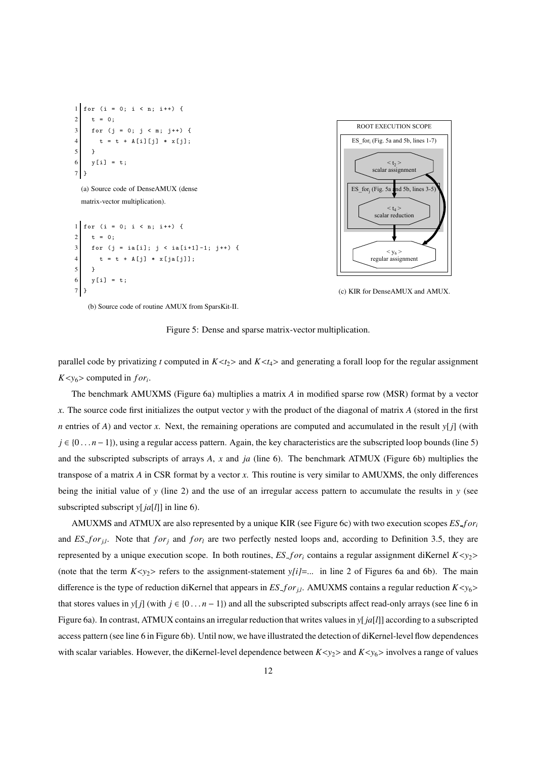```
for (i = 0; i < n; i++) {
2 t = 0:
3 \mid for (j = 0; j < m; j++) {
4 t = t + A[i][j] * x[j];5 }
6 y[i] = t;7 }
```
(a) Source code of DenseAMUX (dense matrix-vector multiplication).

```
1 \text{ for } (i = 0; i \leq n; i++)2 t = 0;3 \mid for (j = ia[i]; j < ia[i+1]-1; j++) {
4 t = t + A[j] * x[ja[j]];5 }
6 y[i] = t;
7 }
```


(c) KIR for DenseAMUX and AMUX.

(b) Source code of routine AMUX from SparsKit-II.



parallel code by privatizing *t* computed in  $K \lt t_2$  and  $K \lt t_4$  and generating a forall loop for the regular assignment  $K < y_6$  computed in *for<sub>i</sub>*.

The benchmark AMUXMS (Figure 6a) multiplies a matrix *A* in modified sparse row (MSR) format by a vector *x*. The source code first initializes the output vector *y* with the product of the diagonal of matrix *A* (stored in the first *n* entries of *A*) and vector *x*. Next, the remaining operations are computed and accumulated in the result *y*[*j*] (with *j* ∈ {0... *n* − 1}), using a regular access pattern. Again, the key characteristics are the subscripted loop bounds (line 5) and the subscripted subscripts of arrays *A*, *x* and *ja* (line 6). The benchmark ATMUX (Figure 6b) multiplies the transpose of a matrix *A* in CSR format by a vector *x*. This routine is very similar to AMUXMS, the only differences being the initial value of *y* (line 2) and the use of an irregular access pattern to accumulate the results in *y* (see subscripted subscript *y*[*ja*[*l*]] in line 6).

AMUXMS and ATMUX are also represented by a unique KIR (see Figure 6c) with two execution scopes *ES f or<sup>i</sup>* and  $ES_f \, or_{j,l}$ . Note that  $for_j$  and  $for_l$  are two perfectly nested loops and, according to Definition 3.5, they are represented by a unique execution scope. In both routines,  $ES_f or_i$  contains a regular assignment diKernel  $K < y_2$ > (note that the term  $K < y_2$ ) refers to the assignment-statement  $y[i]=$ ... in line 2 of Figures 6a and 6b). The main difference is the type of reduction diKernel that appears in  $ES\_for_{j,l}$ . AMUXMS contains a regular reduction  $K < y_6$ that stores values in *y*[*j*] (with  $j \in \{0 \dots n-1\}$ ) and all the subscripted subscripts affect read-only arrays (see line 6 in Figure 6a). In contrast, ATMUX contains an irregular reduction that writes values in *y*[*ja*[*l*]] according to a subscripted access pattern (see line 6 in Figure 6b). Until now, we have illustrated the detection of diKernel-level flow dependences with scalar variables. However, the diKernel-level dependence between  $K < y_2$  and  $K < y_6$  involves a range of values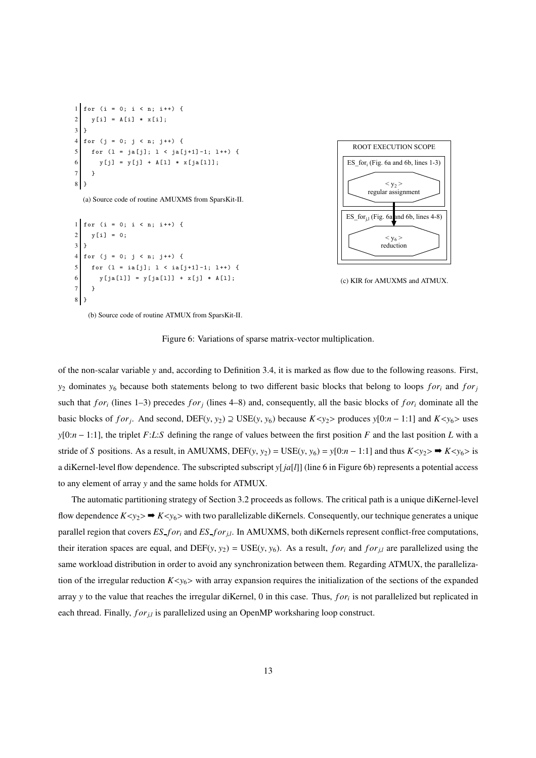```
1 \mid for (i = 0; i < n; i++) {
2 y[i] = A[i] * x[i];3 }
4 \mid for (j = 0; j < n; j + +) {
5 for (1 = ja[j]; 1 < ja[j+1]-1; 1++) {
6 y[j] = y[j] + A[i] * x[ja[i]];7 }
8 }
```
(a) Source code of routine AMUXMS from SparsKit-II.

```
1 \text{ for } (i = 0; i \leq n; i++)2 \quad y[i] = 0;3 }
4 \mid for (j = 0; j < n; j++)5 for (1 = ia[j]; 1 < ia[j+1]-1; 1++) {
6 y[ja[1]] = y[ja[1]] + x[j] * A[1];7 }
8 }
```


(c) KIR for AMUXMS and ATMUX.

(b) Source code of routine ATMUX from SparsKit-II.

Figure 6: Variations of sparse matrix-vector multiplication.

of the non-scalar variable *y* and, according to Definition 3.4, it is marked as flow due to the following reasons. First,  $y_2$  dominates  $y_6$  because both statements belong to two different basic blocks that belong to loops  $for_i$  and  $for_j$ such that  $for_i$  (lines 1–3) precedes  $for_j$  (lines 4–8) and, consequently, all the basic blocks of  $for_i$  dominate all the  $\text{basic blocks of } for_j$ . And second,  $\text{DEF}(y, y_2) \supseteq \text{USE}(y, y_6)$  because  $K \leq y_2$ > produces  $y[0:n - 1:1]$  and  $K \leq y_6$ > uses *y*[0:*n* − 1:1], the triplet *F*:*L*:*S* defining the range of values between the first position *F* and the last position *L* with a stride of *S* positions. As a result, in AMUXMS, DEF(*y*,  $y_2$ ) = USE(*y*,  $y_6$ ) =  $y[0:n - 1:1]$  and thus  $K < y_2$   $\Rightarrow K < y_6$  is a diKernel-level flow dependence. The subscripted subscript *y*[*ja*[*l*]] (line 6 in Figure 6b) represents a potential access to any element of array *y* and the same holds for ATMUX.

The automatic partitioning strategy of Section 3.2 proceeds as follows. The critical path is a unique diKernel-level flow dependence  $K < y_2$   $\rightarrow K < y_6$  with two parallelizable diKernels. Consequently, our technique generates a unique parallel region that covers *ES f or<sup>i</sup>* and *ES f orj*,*<sup>l</sup>* . In AMUXMS, both diKernels represent conflict-free computations, their iteration spaces are equal, and DEF(*y*, *y*<sub>2</sub>) = USE(*y*, *y*<sub>6</sub>). As a result, *for*<sub>*i*</sub> and *for*<sub>*i*</sub>,*l* are parallelized using the same workload distribution in order to avoid any synchronization between them. Regarding ATMUX, the parallelization of the irregular reduction  $K < y_6$  with array expansion requires the initialization of the sections of the expanded array *y* to the value that reaches the irregular diKernel, 0 in this case. Thus,  $for_i$  is not parallelized but replicated in each thread. Finally,  $for_{j,l}$  is parallelized using an OpenMP worksharing loop construct.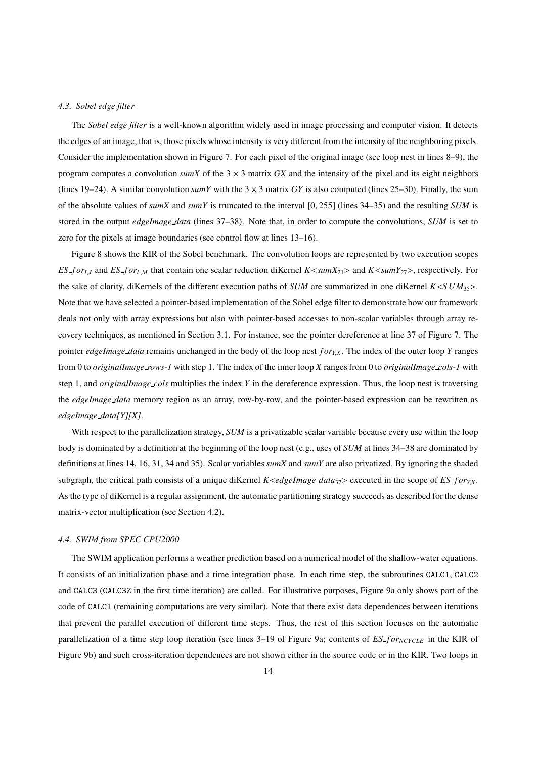#### *4.3. Sobel edge filter*

The *Sobel edge filter* is a well-known algorithm widely used in image processing and computer vision. It detects the edges of an image, that is, those pixels whose intensity is very different from the intensity of the neighboring pixels. Consider the implementation shown in Figure 7. For each pixel of the original image (see loop nest in lines 8–9), the program computes a convolution  $sumX$  of the  $3 \times 3$  matrix *GX* and the intensity of the pixel and its eight neighbors (lines 19–24). A similar convolution *sumY* with the  $3 \times 3$  matrix *GY* is also computed (lines 25–30). Finally, the sum of the absolute values of *sumX* and *sumY* is truncated to the interval [0, 255] (lines 34–35) and the resulting *SUM* is stored in the output *edgeImage data* (lines 37–38). Note that, in order to compute the convolutions, *SUM* is set to zero for the pixels at image boundaries (see control flow at lines 13–16).

Figure 8 shows the KIR of the Sobel benchmark. The convolution loops are represented by two execution scopes *ES for*<sub>*I*</sub>,*J* and *ES for*<sub>*L*</sub>*M* that contain one scalar reduction diKernel *K* < *sumX*<sub>21</sub> > and *K* < *sumY*<sub>27</sub> >, respectively. For the sake of clarity, diKernels of the different execution paths of *SUM* are summarized in one diKernel *K*<*S UM*35>. Note that we have selected a pointer-based implementation of the Sobel edge filter to demonstrate how our framework deals not only with array expressions but also with pointer-based accesses to non-scalar variables through array recovery techniques, as mentioned in Section 3.1. For instance, see the pointer dereference at line 37 of Figure 7. The pointer *edgeImage data* remains unchanged in the body of the loop nest *f orY*,*X*. The index of the outer loop *Y* ranges from 0 to *originalImage rows-1* with step 1. The index of the inner loop *X* ranges from 0 to *originalImage cols-1* with step 1, and *originalImage cols* multiplies the index *Y* in the dereference expression. Thus, the loop nest is traversing the *edgeImage data* memory region as an array, row-by-row, and the pointer-based expression can be rewritten as *edgeImage data[Y][X]*.

With respect to the parallelization strategy, *SUM* is a privatizable scalar variable because every use within the loop body is dominated by a definition at the beginning of the loop nest (e.g., uses of *SUM* at lines 34–38 are dominated by definitions at lines 14, 16, 31, 34 and 35). Scalar variables *sumX* and *sumY* are also privatized. By ignoring the shaded subgraph, the critical path consists of a unique diKernel  $K \leq \text{edgeImage\_data}_{37}$  executed in the scope of  $ES\_for_{XX}$ . As the type of diKernel is a regular assignment, the automatic partitioning strategy succeeds as described for the dense matrix-vector multiplication (see Section 4.2).

# *4.4. SWIM from SPEC CPU2000*

The SWIM application performs a weather prediction based on a numerical model of the shallow-water equations. It consists of an initialization phase and a time integration phase. In each time step, the subroutines CALC1, CALC2 and CALC3 (CALC3Z in the first time iteration) are called. For illustrative purposes, Figure 9a only shows part of the code of CALC1 (remaining computations are very similar). Note that there exist data dependences between iterations that prevent the parallel execution of different time steps. Thus, the rest of this section focuses on the automatic parallelization of a time step loop iteration (see lines 3–19 of Figure 9a; contents of *ES f orNCYCLE* in the KIR of Figure 9b) and such cross-iteration dependences are not shown either in the source code or in the KIR. Two loops in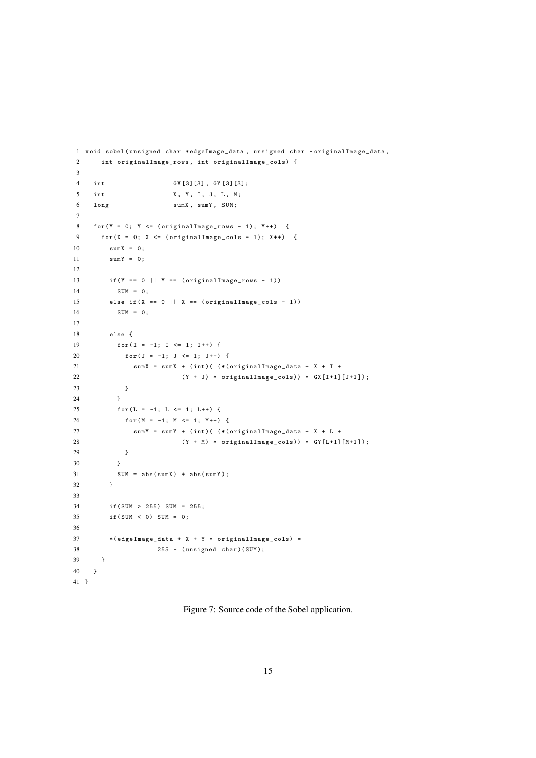```
1 void sobel ( unsigned char * edgeImage_data , unsigned char * originalImage_data ,
2 int originalImage_rows , int originalImage_cols) {
3
4 int GX [3][3], GY [3][3];
5 \quad \text{int} \quad X, Y, I, J, L, M;6 long sumX, sumY, SUM;
7
8 for (Y = 0; Y \leq (originalImagerows - 1); Y++) {
9 f \circ r(X = 0; X \leq (originalImage\_cols - 1); X++) {
10 sumX = 0;
11 sumY = 0;
12
13 if (Y == 0 || Y == (originalImagerows - 1))14 SUM = 0;
15 else if (X == 0 | | X == (originalImage\_cols - 1))16 SUM = 0;
17
18 else {
19 for(I = -1; I \leq 1; I++)20 for(J = -1; J \leq 1; J++)21 \vert sumX = sumX + (int)( (*(originalImage_data + X + I +
22 (Y + J) * \text{originalImage}_\text{coals}) * GX[I+1][J+1];23 }
24 }
25 for (L = -1; L \le 1; L++)26 for (M = -1; M \le 1; M++)27 sumY = sumY + (int) ( (*(originalImage_data + X + L +28 (Y + M) * originalImage_{cols}) * GY[L+1][M+1]),29 }
30 }
31 SUM = abs(sumX) + abs(sumY);
32 }
33
34 if ( SUM > 255) SUM = 255;
35 if(SUM < 0) SUM = 0;36
37 * (edgeImage_data + X + Y * originalImage_cols) =
38 255 - (unsigned char) (SUM);
39 }
40 }
41 }
```
Figure 7: Source code of the Sobel application.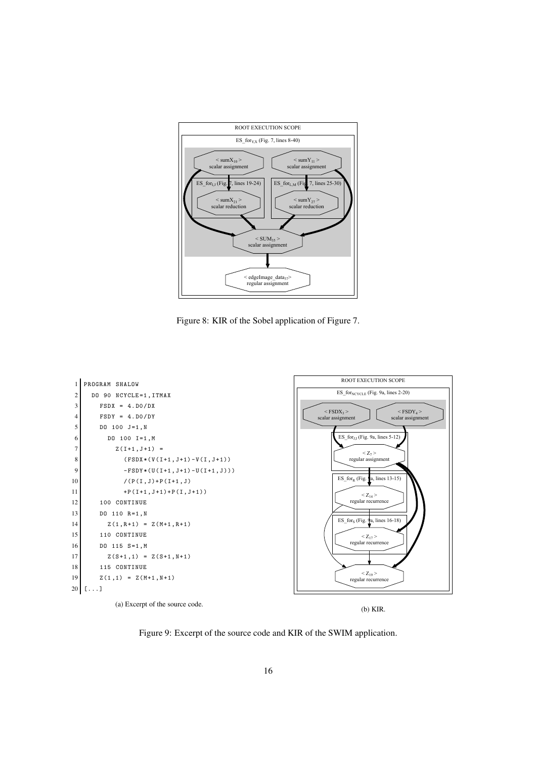

Figure 8: KIR of the Sobel application of Figure 7.



(b) KIR.

Figure 9: Excerpt of the source code and KIR of the SWIM application.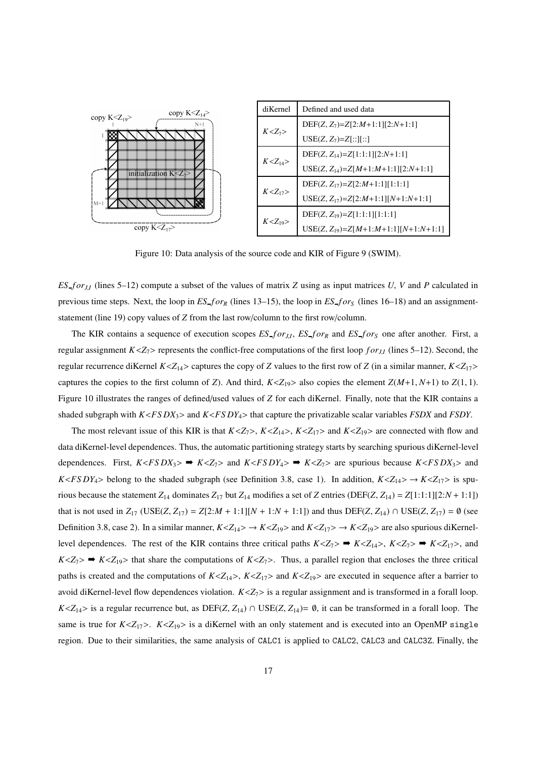

| diKernel       | Defined and used data                      |  |  |  |
|----------------|--------------------------------------------|--|--|--|
| $K < Z_7 >$    | $DEF(Z, Z_7) = Z[2:M+1:1][2:N+1:1]$        |  |  |  |
|                | $USE(Z, Z_7) = Z[:1][::1]$                 |  |  |  |
| $K < Z_{14} >$ | $DEF(Z, Z_{14}) = Z[1:1:1][2:N+1:1]$       |  |  |  |
|                | $USE(Z, Z_{14}) = Z[M+1:M+1:1][2:N+1:1]$   |  |  |  |
| $K < Z_{17} >$ | $DEF(Z, Z_{17}) = Z[2:M+1:1][1:1:1]$       |  |  |  |
|                | $USE(Z, Z_{17})=Z[2:M+1:1][N+1:N+1:1]$     |  |  |  |
| $K < Z_{19} >$ | $DEF(Z, Z_{19}) = Z[1:1:1][1:1:1]$         |  |  |  |
|                | $USE(Z, Z_{19}) = Z[M+1:M+1:1][N+1:N+1:1]$ |  |  |  |

Figure 10: Data analysis of the source code and KIR of Figure 9 (SWIM).

*ES*<sub>*for*</sub>*J*<sub>*I*</sub> (lines 5–12) compute a subset of the values of matrix *Z* using as input matrices *U*, *V* and *P* calculated in previous time steps. Next, the loop in *ES f or<sup>R</sup>* (lines 13–15), the loop in *ES f or<sup>S</sup>* (lines 16–18) and an assignmentstatement (line 19) copy values of *Z* from the last row/column to the first row/column.

The KIR contains a sequence of execution scopes *ES f orJ*,*<sup>I</sup>* , *ES f or<sup>R</sup>* and *ES f or<sup>S</sup>* one after another. First, a regular assignment  $K < Z_7$  represents the conflict-free computations of the first loop  $for_{JJ}$  (lines 5–12). Second, the regular recurrence diKernel  $K < Z_{14} >$  captures the copy of *Z* values to the first row of *Z* (in a similar manner,  $K < Z_{17} >$ captures the copies to the first column of *Z*). And third,  $K \leq Z_{19}$  also copies the element  $Z(M+1, N+1)$  to  $Z(1, 1)$ . Figure 10 illustrates the ranges of defined/used values of *Z* for each diKernel. Finally, note that the KIR contains a shaded subgraph with *K*<*FS DX*3> and *K*<*FS DY*4> that capture the privatizable scalar variables *FSDX* and *FSDY*.

The most relevant issue of this KIR is that  $K < Z_7$ ,  $K < Z_{14}$ ,  $K < Z_{17}$  and  $K < Z_{19}$  are connected with flow and data diKernel-level dependences. Thus, the automatic partitioning strategy starts by searching spurious diKernel-level dependences. First,  $K \leq FSDX_3$   $\Rightarrow K \leq Z_7$  and  $K \leq FSDY_4$   $\Rightarrow K \leq Z_7$  are spurious because  $K \leq FSDX_3$  and  $K < FSDY_4$  belong to the shaded subgraph (see Definition 3.8, case 1). In addition,  $K < Z_{14} > \rightarrow K < Z_{17} >$  is spurious because the statement  $Z_{14}$  dominates  $Z_{17}$  but  $Z_{14}$  modifies a set of *Z* entries (DEF(*Z*,  $Z_{14}$ ) =  $Z[1:1:1][2:N+1:1]$ ) that is not used in *Z*<sub>17</sub> (USE(*Z*, *Z*<sub>17</sub>) = *Z*[2:*M* + 1:1][*N* + 1:*N* + 1:1]) and thus DEF(*Z*, *Z*<sub>14</sub>) ∩ USE(*Z*, *Z*<sub>17</sub>) = ∅ (see Definition 3.8, case 2). In a similar manner,  $K < Z_{14} > \rightarrow K < Z_{19} >$  and  $K < Z_{17} > \rightarrow K < Z_{19} >$  are also spurious diKernellevel dependences. The rest of the KIR contains three critical paths  $K \ll Z_7$   $\Rightarrow$   $K \ll Z_1 \ll Z_7$   $\Rightarrow$   $K \ll Z_7 \gg Z_7$ , and  $K < Z_7$   $\rightarrow$  *K* <  $Z_1$   $\rightarrow$  that share the computations of *K* <  $Z_7$  >. Thus, a parallel region that encloses the three critical paths is created and the computations of  $K \ll Z_{14}$ ,  $K \ll Z_{17}$  and  $K \ll Z_{19}$  are executed in sequence after a barrier to avoid diKernel-level flow dependences violation. *K<Z*<sub>7</sub>> is a regular assignment and is transformed in a forall loop.  $K < Z_{14}$  is a regular recurrence but, as DEF(*Z*,  $Z_{14}$ ) ∩ USE(*Z*,  $Z_{14}$ )= Ø, it can be transformed in a forall loop. The same is true for  $K < Z_{17} > K < Z_{19} >$  is a diKernel with an only statement and is executed into an OpenMP single region. Due to their similarities, the same analysis of CALC1 is applied to CALC2, CALC3 and CALC3Z. Finally, the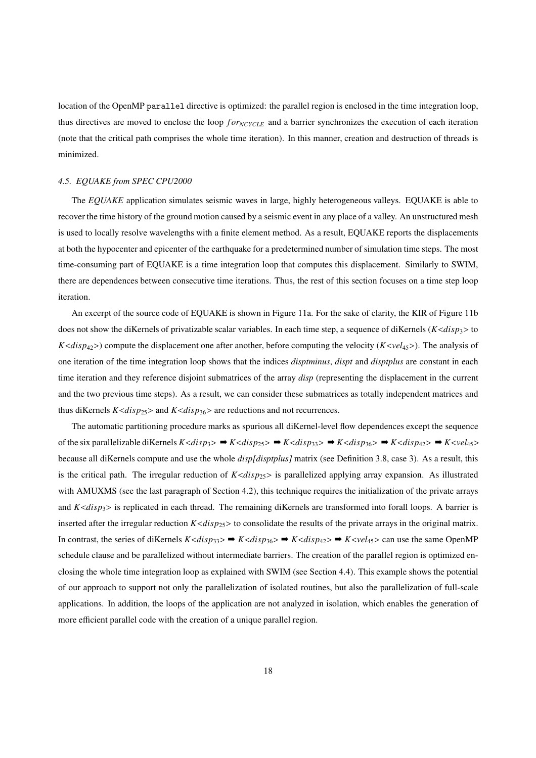location of the OpenMP parallel directive is optimized: the parallel region is enclosed in the time integration loop, thus directives are moved to enclose the loop *f orNCYCLE* and a barrier synchronizes the execution of each iteration (note that the critical path comprises the whole time iteration). In this manner, creation and destruction of threads is minimized.

# *4.5. EQUAKE from SPEC CPU2000*

The *EQUAKE* application simulates seismic waves in large, highly heterogeneous valleys. EQUAKE is able to recover the time history of the ground motion caused by a seismic event in any place of a valley. An unstructured mesh is used to locally resolve wavelengths with a finite element method. As a result, EQUAKE reports the displacements at both the hypocenter and epicenter of the earthquake for a predetermined number of simulation time steps. The most time-consuming part of EQUAKE is a time integration loop that computes this displacement. Similarly to SWIM, there are dependences between consecutive time iterations. Thus, the rest of this section focuses on a time step loop iteration.

An excerpt of the source code of EQUAKE is shown in Figure 11a. For the sake of clarity, the KIR of Figure 11b does not show the diKernels of privatizable scalar variables. In each time step, a sequence of diKernels (*K*<*disp*3> to *K*<*disp*42>) compute the displacement one after another, before computing the velocity (*K*<*vel*45>). The analysis of one iteration of the time integration loop shows that the indices *disptminus*, *dispt* and *disptplus* are constant in each time iteration and they reference disjoint submatrices of the array *disp* (representing the displacement in the current and the two previous time steps). As a result, we can consider these submatrices as totally independent matrices and thus diKernels  $K \leq \frac{disp_{25}}{s}$  and  $K \leq \frac{disp_{36}}{s}$  are reductions and not recurrences.

The automatic partitioning procedure marks as spurious all diKernel-level flow dependences except the sequence of the six parallelizable diKernels *K*<*disp*<sub>3</sub>> ➡ *K*<*disp*<sub>33</sub>> ➡ *K*<*disp*<sub>36</sub>> ➡ *K*<*disp*<sub>42</sub>> ➡ *K*<*vel*<sub>45</sub>> because all diKernels compute and use the whole *disp[disptplus]* matrix (see Definition 3.8, case 3). As a result, this is the critical path. The irregular reduction of  $K \leq \text{dis} p_{25}$  is parallelized applying array expansion. As illustrated with AMUXMS (see the last paragraph of Section 4.2), this technique requires the initialization of the private arrays and *K*<*disp*<sub>3</sub>> is replicated in each thread. The remaining diKernels are transformed into forall loops. A barrier is inserted after the irregular reduction  $K \langle disp_{25} \rangle$  to consolidate the results of the private arrays in the original matrix. In contrast, the series of diKernels  $K \leq disp_{33} \geq \rightarrow K \leq disp_{36} \geq \rightarrow K \leq disp_{42} \geq \rightarrow K \leq vel_{45} \geq can$  use the same OpenMP schedule clause and be parallelized without intermediate barriers. The creation of the parallel region is optimized enclosing the whole time integration loop as explained with SWIM (see Section 4.4). This example shows the potential of our approach to support not only the parallelization of isolated routines, but also the parallelization of full-scale applications. In addition, the loops of the application are not analyzed in isolation, which enables the generation of more efficient parallel code with the creation of a unique parallel region.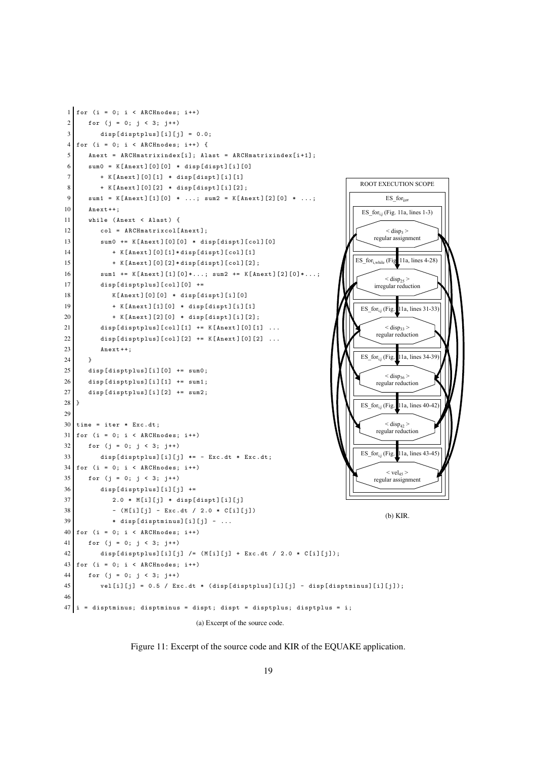

Figure 11: Excerpt of the source code and KIR of the EQUAKE application.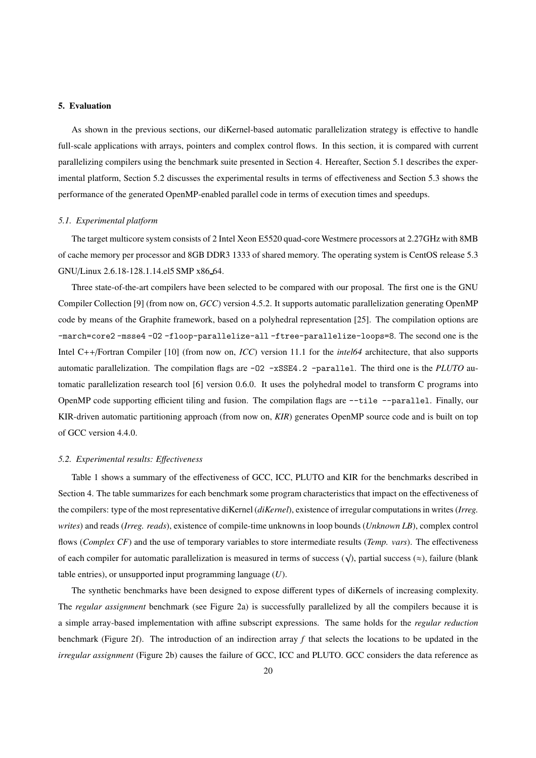# 5. Evaluation

As shown in the previous sections, our diKernel-based automatic parallelization strategy is effective to handle full-scale applications with arrays, pointers and complex control flows. In this section, it is compared with current parallelizing compilers using the benchmark suite presented in Section 4. Hereafter, Section 5.1 describes the experimental platform, Section 5.2 discusses the experimental results in terms of effectiveness and Section 5.3 shows the performance of the generated OpenMP-enabled parallel code in terms of execution times and speedups.

# *5.1. Experimental platform*

The target multicore system consists of 2 Intel Xeon E5520 quad-core Westmere processors at 2.27GHz with 8MB of cache memory per processor and 8GB DDR3 1333 of shared memory. The operating system is CentOS release 5.3 GNU/Linux 2.6.18-128.1.14.el5 SMP x86 64.

Three state-of-the-art compilers have been selected to be compared with our proposal. The first one is the GNU Compiler Collection [9] (from now on, *GCC*) version 4.5.2. It supports automatic parallelization generating OpenMP code by means of the Graphite framework, based on a polyhedral representation [25]. The compilation options are -march=core2 -msse4 -O2 -floop-parallelize-all -ftree-parallelize-loops=8. The second one is the Intel C++/Fortran Compiler [10] (from now on, *ICC*) version 11.1 for the *intel64* architecture, that also supports automatic parallelization. The compilation flags are -O2 -xSSE4.2 -parallel. The third one is the *PLUTO* automatic parallelization research tool [6] version 0.6.0. It uses the polyhedral model to transform C programs into OpenMP code supporting efficient tiling and fusion. The compilation flags are --tile --parallel. Finally, our KIR-driven automatic partitioning approach (from now on, *KIR*) generates OpenMP source code and is built on top of GCC version 4.4.0.

## *5.2. Experimental results: E*ff*ectiveness*

Table 1 shows a summary of the effectiveness of GCC, ICC, PLUTO and KIR for the benchmarks described in Section 4. The table summarizes for each benchmark some program characteristics that impact on the effectiveness of the compilers: type of the most representative diKernel (*diKernel*), existence of irregular computations in writes (*Irreg. writes*) and reads (*Irreg. reads*), existence of compile-time unknowns in loop bounds (*Unknown LB*), complex control flows (*Complex CF*) and the use of temporary variables to store intermediate results (*Temp. vars*). The effectiveness of each compiler for automatic parallelization is measured in terms of success  $(\sqrt{)}$ , partial success  $(\approx)$ , failure (blank table entries), or unsupported input programming language (*U*).

The synthetic benchmarks have been designed to expose different types of diKernels of increasing complexity. The *regular assignment* benchmark (see Figure 2a) is successfully parallelized by all the compilers because it is a simple array-based implementation with affine subscript expressions. The same holds for the *regular reduction* benchmark (Figure 2f). The introduction of an indirection array *f* that selects the locations to be updated in the *irregular assignment* (Figure 2b) causes the failure of GCC, ICC and PLUTO. GCC considers the data reference as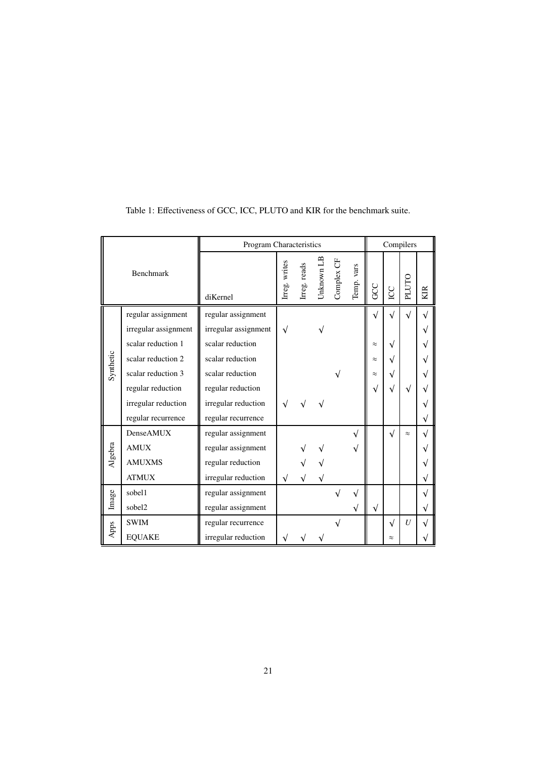|           |                      | Program Characteristics |               |              |                    |            |            | Compilers  |           |                  |     |
|-----------|----------------------|-------------------------|---------------|--------------|--------------------|------------|------------|------------|-----------|------------------|-----|
| Benchmark |                      | diKernel                | Irreg. writes | Irreg. reads | Unknown ${\rm LB}$ | Complex CF | Temp. vars | GCC        | LCC       | PLUT             | KIR |
|           | regular assignment   | regular assignment      |               |              |                    |            |            | $\sqrt{ }$ | $\sqrt{}$ |                  |     |
| Synthetic | irregular assignment | irregular assignment    | V             |              |                    |            |            |            |           |                  |     |
|           | scalar reduction 1   | scalar reduction        |               |              |                    |            |            | $\approx$  | √         |                  |     |
|           | scalar reduction 2   | scalar reduction        |               |              |                    |            |            | $\approx$  |           |                  |     |
|           | scalar reduction 3   | scalar reduction        |               |              |                    |            |            | $\approx$  |           |                  |     |
|           | regular reduction    | regular reduction       |               |              |                    |            |            | $\sqrt{}$  | V         |                  |     |
|           | irregular reduction  | irregular reduction     |               |              |                    |            |            |            |           |                  |     |
|           | regular recurrence   | regular recurrence      |               |              |                    |            |            |            |           |                  |     |
| Algebra   | <b>DenseAMUX</b>     | regular assignment      |               |              |                    |            |            |            | $\sqrt{}$ | $\approx$        |     |
|           | <b>AMUX</b>          | regular assignment      |               |              |                    |            |            |            |           |                  |     |
|           | <b>AMUXMS</b>        | regular reduction       |               |              |                    |            |            |            |           |                  |     |
|           | <b>ATMUX</b>         | irregular reduction     |               |              |                    |            |            |            |           |                  |     |
| Image     | sobel1               | regular assignment      |               |              |                    |            |            |            |           |                  |     |
|           | sobel2               | regular assignment      |               |              |                    |            |            | $\sqrt{}$  |           |                  |     |
| Apps      | <b>SWIM</b>          | regular recurrence      |               |              |                    |            |            |            | $\sqrt{}$ | $\boldsymbol{U}$ |     |
|           | <b>EQUAKE</b>        | irregular reduction     |               |              |                    |            |            |            | $\approx$ |                  |     |

Table 1: Effectiveness of GCC, ICC, PLUTO and KIR for the benchmark suite.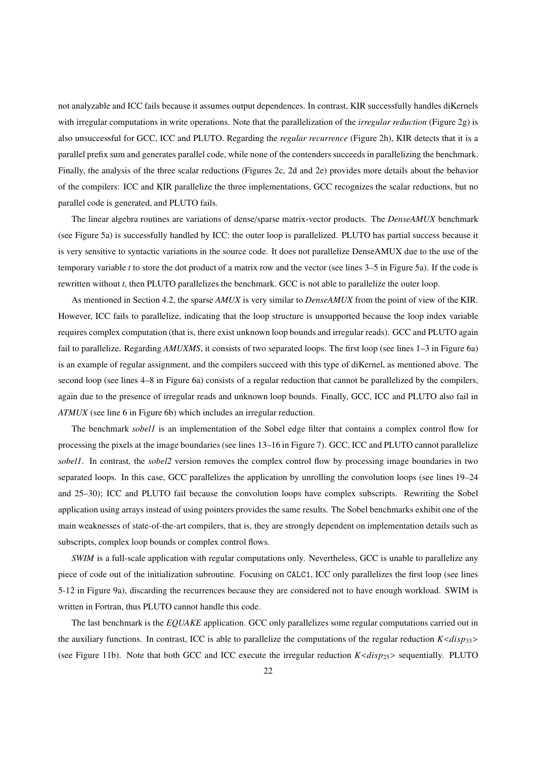not analyzable and ICC fails because it assumes output dependences. In contrast, KIR successfully handles diKernels with irregular computations in write operations. Note that the parallelization of the *irregular reduction* (Figure 2g) is also unsuccessful for GCC, ICC and PLUTO. Regarding the *regular recurrence* (Figure 2h), KIR detects that it is a parallel prefix sum and generates parallel code, while none of the contenders succeeds in parallelizing the benchmark. Finally, the analysis of the three scalar reductions (Figures 2c, 2d and 2e) provides more details about the behavior of the compilers: ICC and KIR parallelize the three implementations, GCC recognizes the scalar reductions, but no parallel code is generated, and PLUTO fails.

The linear algebra routines are variations of dense/sparse matrix-vector products. The *DenseAMUX* benchmark (see Figure 5a) is successfully handled by ICC: the outer loop is parallelized. PLUTO has partial success because it is very sensitive to syntactic variations in the source code. It does not parallelize DenseAMUX due to the use of the temporary variable *t* to store the dot product of a matrix row and the vector (see lines 3–5 in Figure 5a). If the code is rewritten without *t*, then PLUTO parallelizes the benchmark. GCC is not able to parallelize the outer loop.

As mentioned in Section 4.2, the sparse *AMUX* is very similar to *DenseAMUX* from the point of view of the KIR. However, ICC fails to parallelize, indicating that the loop structure is unsupported because the loop index variable requires complex computation (that is, there exist unknown loop bounds and irregular reads). GCC and PLUTO again fail to parallelize. Regarding *AMUXMS*, it consists of two separated loops. The first loop (see lines 1–3 in Figure 6a) is an example of regular assignment, and the compilers succeed with this type of diKernel, as mentioned above. The second loop (see lines 4–8 in Figure 6a) consists of a regular reduction that cannot be parallelized by the compilers, again due to the presence of irregular reads and unknown loop bounds. Finally, GCC, ICC and PLUTO also fail in *ATMUX* (see line 6 in Figure 6b) which includes an irregular reduction.

The benchmark *sobel1* is an implementation of the Sobel edge filter that contains a complex control flow for processing the pixels at the image boundaries (see lines 13–16 in Figure 7). GCC, ICC and PLUTO cannot parallelize *sobel1*. In contrast, the *sobel2* version removes the complex control flow by processing image boundaries in two separated loops. In this case, GCC parallelizes the application by unrolling the convolution loops (see lines 19–24 and 25–30); ICC and PLUTO fail because the convolution loops have complex subscripts. Rewriting the Sobel application using arrays instead of using pointers provides the same results. The Sobel benchmarks exhibit one of the main weaknesses of state-of-the-art compilers, that is, they are strongly dependent on implementation details such as subscripts, complex loop bounds or complex control flows.

*SWIM* is a full-scale application with regular computations only. Nevertheless, GCC is unable to parallelize any piece of code out of the initialization subroutine. Focusing on CALC1, ICC only parallelizes the first loop (see lines 5-12 in Figure 9a), discarding the recurrences because they are considered not to have enough workload. SWIM is written in Fortran, thus PLUTO cannot handle this code.

The last benchmark is the *EQUAKE* application. GCC only parallelizes some regular computations carried out in the auxiliary functions. In contrast, ICC is able to parallelize the computations of the regular reduction  $K \leq \text{disp}_3$ (see Figure 11b). Note that both GCC and ICC execute the irregular reduction *K*<*disp*25> sequentially. PLUTO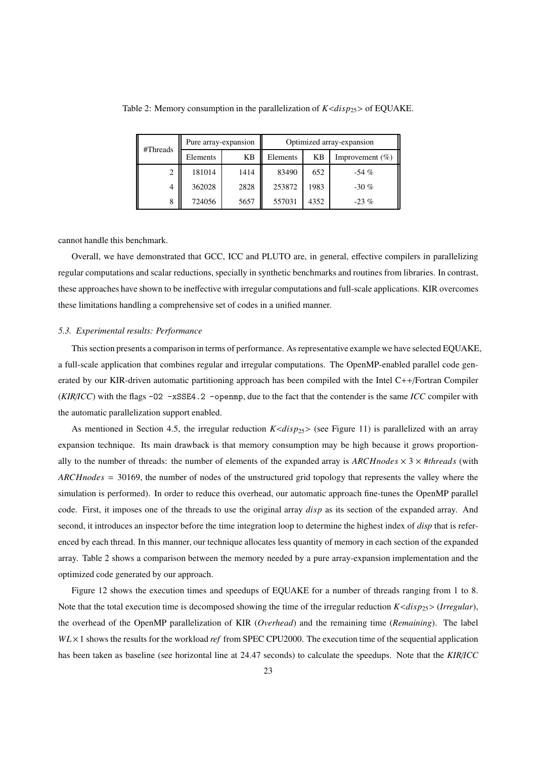|          | Pure array-expansion |      | Optimized array-expansion |      |                     |  |  |
|----------|----------------------|------|---------------------------|------|---------------------|--|--|
| #Threads | Elements             | KB   | Elements                  | KB   | Improvement $(\% )$ |  |  |
|          | 181014               | 1414 | 83490                     | 652  | $-54\%$             |  |  |
| 4        | 362028               | 2828 | 253872                    | 1983 | $-30\%$             |  |  |
| 8        | 724056               | 5657 | 557031                    | 4352 | $-23\%$             |  |  |

Table 2: Memory consumption in the parallelization of  $K \leq \text{disp}_2 > 5$  of EQUAKE.

cannot handle this benchmark.

Overall, we have demonstrated that GCC, ICC and PLUTO are, in general, effective compilers in parallelizing regular computations and scalar reductions, specially in synthetic benchmarks and routines from libraries. In contrast, these approaches have shown to be ineffective with irregular computations and full-scale applications. KIR overcomes these limitations handling a comprehensive set of codes in a unified manner.

## *5.3. Experimental results: Performance*

This section presents a comparison in terms of performance. As representative example we have selected EQUAKE, a full-scale application that combines regular and irregular computations. The OpenMP-enabled parallel code generated by our KIR-driven automatic partitioning approach has been compiled with the Intel C++/Fortran Compiler (*KIR*/*ICC*) with the flags -O2 -xSSE4.2 -openmp, due to the fact that the contender is the same *ICC* compiler with the automatic parallelization support enabled.

As mentioned in Section 4.5, the irregular reduction *K<disp*<sub>25</sub>> (see Figure 11) is parallelized with an array expansion technique. Its main drawback is that memory consumption may be high because it grows proportionally to the number of threads: the number of elements of the expanded array is  $ARCHnodes \times 3 \times \# threads$  (with *ARCHnodes* = 30169, the number of nodes of the unstructured grid topology that represents the valley where the simulation is performed). In order to reduce this overhead, our automatic approach fine-tunes the OpenMP parallel code. First, it imposes one of the threads to use the original array *disp* as its section of the expanded array. And second, it introduces an inspector before the time integration loop to determine the highest index of *disp* that is referenced by each thread. In this manner, our technique allocates less quantity of memory in each section of the expanded array. Table 2 shows a comparison between the memory needed by a pure array-expansion implementation and the optimized code generated by our approach.

Figure 12 shows the execution times and speedups of EQUAKE for a number of threads ranging from 1 to 8. Note that the total execution time is decomposed showing the time of the irregular reduction  $K < disp_{25}$  (*Irregular*), the overhead of the OpenMP parallelization of KIR (*Overhead*) and the remaining time (*Remaining*). The label *WL*×1 shows the results for the workload *ref* from SPEC CPU2000. The execution time of the sequential application has been taken as baseline (see horizontal line at 24.47 seconds) to calculate the speedups. Note that the *KIR*/*ICC*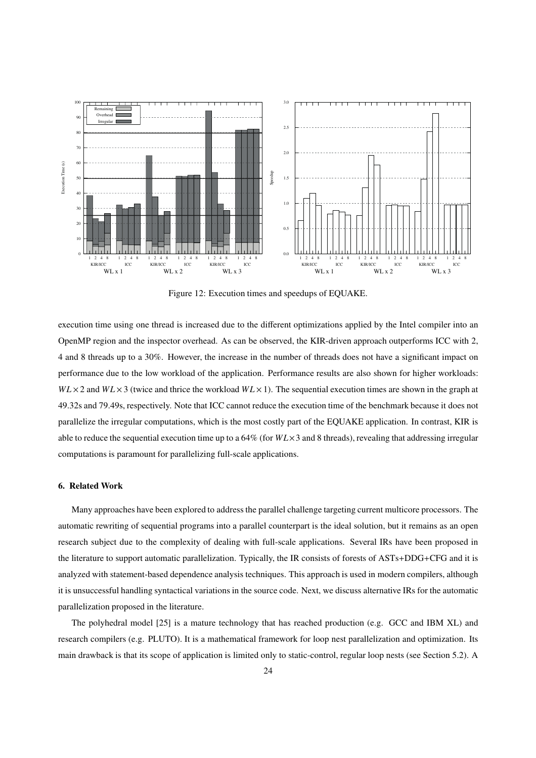

Figure 12: Execution times and speedups of EQUAKE.

execution time using one thread is increased due to the different optimizations applied by the Intel compiler into an OpenMP region and the inspector overhead. As can be observed, the KIR-driven approach outperforms ICC with 2, 4 and 8 threads up to a 30%. However, the increase in the number of threads does not have a significant impact on performance due to the low workload of the application. Performance results are also shown for higher workloads:  $W L \times 2$  and  $W L \times 3$  (twice and thrice the workload  $W L \times 1$ ). The sequential execution times are shown in the graph at 49.32s and 79.49s, respectively. Note that ICC cannot reduce the execution time of the benchmark because it does not parallelize the irregular computations, which is the most costly part of the EQUAKE application. In contrast, KIR is able to reduce the sequential execution time up to a 64% (for *WL*×3 and 8 threads), revealing that addressing irregular computations is paramount for parallelizing full-scale applications.

# 6. Related Work

Many approaches have been explored to address the parallel challenge targeting current multicore processors. The automatic rewriting of sequential programs into a parallel counterpart is the ideal solution, but it remains as an open research subject due to the complexity of dealing with full-scale applications. Several IRs have been proposed in the literature to support automatic parallelization. Typically, the IR consists of forests of ASTs+DDG+CFG and it is analyzed with statement-based dependence analysis techniques. This approach is used in modern compilers, although it is unsuccessful handling syntactical variations in the source code. Next, we discuss alternative IRs for the automatic parallelization proposed in the literature.

The polyhedral model [25] is a mature technology that has reached production (e.g. GCC and IBM XL) and research compilers (e.g. PLUTO). It is a mathematical framework for loop nest parallelization and optimization. Its main drawback is that its scope of application is limited only to static-control, regular loop nests (see Section 5.2). A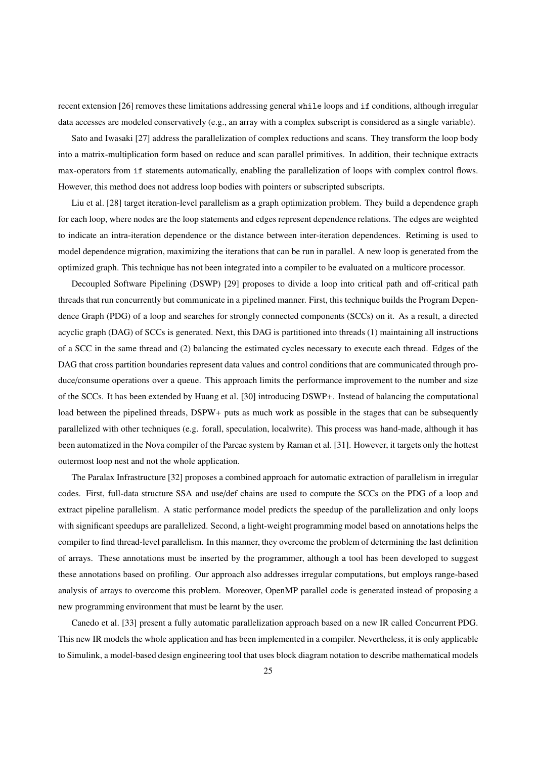recent extension [26] removes these limitations addressing general while loops and if conditions, although irregular data accesses are modeled conservatively (e.g., an array with a complex subscript is considered as a single variable).

Sato and Iwasaki [27] address the parallelization of complex reductions and scans. They transform the loop body into a matrix-multiplication form based on reduce and scan parallel primitives. In addition, their technique extracts max-operators from if statements automatically, enabling the parallelization of loops with complex control flows. However, this method does not address loop bodies with pointers or subscripted subscripts.

Liu et al. [28] target iteration-level parallelism as a graph optimization problem. They build a dependence graph for each loop, where nodes are the loop statements and edges represent dependence relations. The edges are weighted to indicate an intra-iteration dependence or the distance between inter-iteration dependences. Retiming is used to model dependence migration, maximizing the iterations that can be run in parallel. A new loop is generated from the optimized graph. This technique has not been integrated into a compiler to be evaluated on a multicore processor.

Decoupled Software Pipelining (DSWP) [29] proposes to divide a loop into critical path and off-critical path threads that run concurrently but communicate in a pipelined manner. First, this technique builds the Program Dependence Graph (PDG) of a loop and searches for strongly connected components (SCCs) on it. As a result, a directed acyclic graph (DAG) of SCCs is generated. Next, this DAG is partitioned into threads (1) maintaining all instructions of a SCC in the same thread and (2) balancing the estimated cycles necessary to execute each thread. Edges of the DAG that cross partition boundaries represent data values and control conditions that are communicated through produce/consume operations over a queue. This approach limits the performance improvement to the number and size of the SCCs. It has been extended by Huang et al. [30] introducing DSWP+. Instead of balancing the computational load between the pipelined threads, DSPW+ puts as much work as possible in the stages that can be subsequently parallelized with other techniques (e.g. forall, speculation, localwrite). This process was hand-made, although it has been automatized in the Nova compiler of the Parcae system by Raman et al. [31]. However, it targets only the hottest outermost loop nest and not the whole application.

The Paralax Infrastructure [32] proposes a combined approach for automatic extraction of parallelism in irregular codes. First, full-data structure SSA and use/def chains are used to compute the SCCs on the PDG of a loop and extract pipeline parallelism. A static performance model predicts the speedup of the parallelization and only loops with significant speedups are parallelized. Second, a light-weight programming model based on annotations helps the compiler to find thread-level parallelism. In this manner, they overcome the problem of determining the last definition of arrays. These annotations must be inserted by the programmer, although a tool has been developed to suggest these annotations based on profiling. Our approach also addresses irregular computations, but employs range-based analysis of arrays to overcome this problem. Moreover, OpenMP parallel code is generated instead of proposing a new programming environment that must be learnt by the user.

Canedo et al. [33] present a fully automatic parallelization approach based on a new IR called Concurrent PDG. This new IR models the whole application and has been implemented in a compiler. Nevertheless, it is only applicable to Simulink, a model-based design engineering tool that uses block diagram notation to describe mathematical models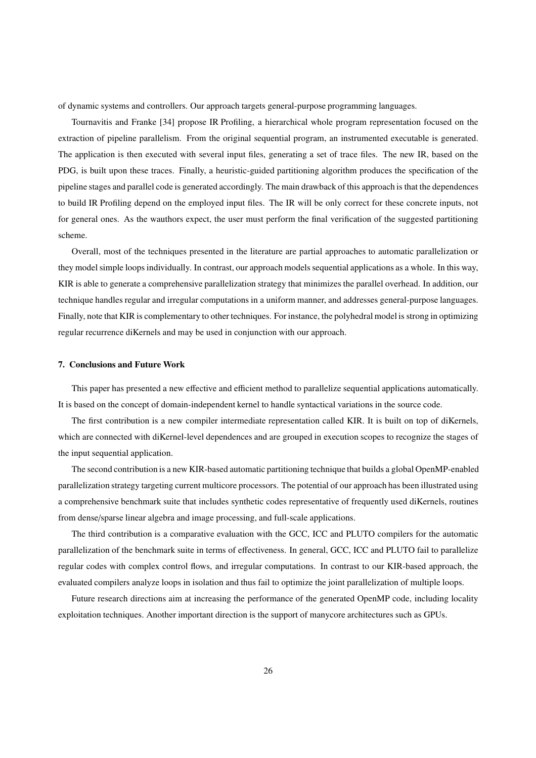of dynamic systems and controllers. Our approach targets general-purpose programming languages.

Tournavitis and Franke [34] propose IR Profiling, a hierarchical whole program representation focused on the extraction of pipeline parallelism. From the original sequential program, an instrumented executable is generated. The application is then executed with several input files, generating a set of trace files. The new IR, based on the PDG, is built upon these traces. Finally, a heuristic-guided partitioning algorithm produces the specification of the pipeline stages and parallel code is generated accordingly. The main drawback of this approach is that the dependences to build IR Profiling depend on the employed input files. The IR will be only correct for these concrete inputs, not for general ones. As the wauthors expect, the user must perform the final verification of the suggested partitioning scheme.

Overall, most of the techniques presented in the literature are partial approaches to automatic parallelization or they model simple loops individually. In contrast, our approach models sequential applications as a whole. In this way, KIR is able to generate a comprehensive parallelization strategy that minimizes the parallel overhead. In addition, our technique handles regular and irregular computations in a uniform manner, and addresses general-purpose languages. Finally, note that KIR is complementary to other techniques. For instance, the polyhedral model is strong in optimizing regular recurrence diKernels and may be used in conjunction with our approach.

# 7. Conclusions and Future Work

This paper has presented a new effective and efficient method to parallelize sequential applications automatically. It is based on the concept of domain-independent kernel to handle syntactical variations in the source code.

The first contribution is a new compiler intermediate representation called KIR. It is built on top of diKernels, which are connected with diKernel-level dependences and are grouped in execution scopes to recognize the stages of the input sequential application.

The second contribution is a new KIR-based automatic partitioning technique that builds a global OpenMP-enabled parallelization strategy targeting current multicore processors. The potential of our approach has been illustrated using a comprehensive benchmark suite that includes synthetic codes representative of frequently used diKernels, routines from dense/sparse linear algebra and image processing, and full-scale applications.

The third contribution is a comparative evaluation with the GCC, ICC and PLUTO compilers for the automatic parallelization of the benchmark suite in terms of effectiveness. In general, GCC, ICC and PLUTO fail to parallelize regular codes with complex control flows, and irregular computations. In contrast to our KIR-based approach, the evaluated compilers analyze loops in isolation and thus fail to optimize the joint parallelization of multiple loops.

Future research directions aim at increasing the performance of the generated OpenMP code, including locality exploitation techniques. Another important direction is the support of manycore architectures such as GPUs.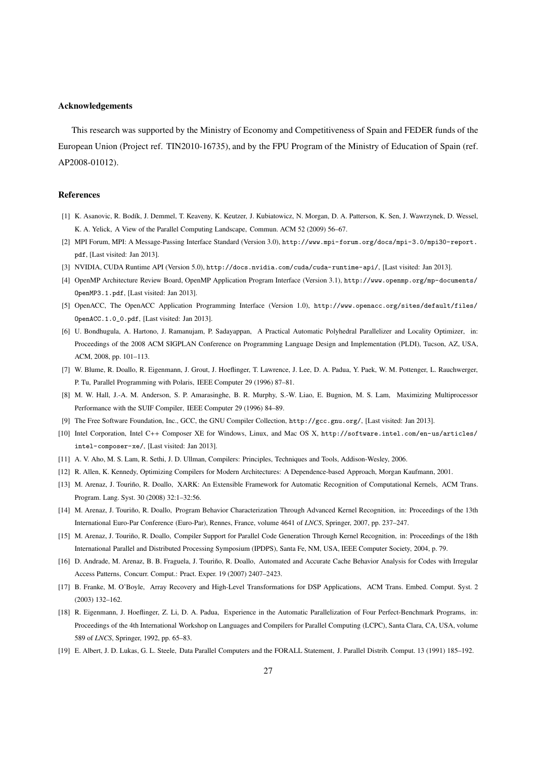#### Acknowledgements

This research was supported by the Ministry of Economy and Competitiveness of Spain and FEDER funds of the European Union (Project ref. TIN2010-16735), and by the FPU Program of the Ministry of Education of Spain (ref. AP2008-01012).

## References

- [1] K. Asanovic, R. Bodík, J. Demmel, T. Keaveny, K. Keutzer, J. Kubiatowicz, N. Morgan, D. A. Patterson, K. Sen, J. Wawrzynek, D. Wessel, K. A. Yelick, A View of the Parallel Computing Landscape, Commun. ACM 52 (2009) 56–67.
- [2] MPI Forum, MPI: A Message-Passing Interface Standard (Version 3.0), http://www.mpi-forum.org/docs/mpi-3.0/mpi30-report. pdf, [Last visited: Jan 2013].
- [3] NVIDIA, CUDA Runtime API (Version 5.0), http://docs.nvidia.com/cuda/cuda-runtime-api/, [Last visited: Jan 2013].
- [4] OpenMP Architecture Review Board, OpenMP Application Program Interface (Version 3.1), http://www.openmp.org/mp-documents/ OpenMP3.1.pdf, [Last visited: Jan 2013].
- [5] OpenACC, The OpenACC Application Programming Interface (Version 1.0), http://www.openacc.org/sites/default/files/ OpenACC.1.0\_0.pdf, [Last visited: Jan 2013].
- [6] U. Bondhugula, A. Hartono, J. Ramanujam, P. Sadayappan, A Practical Automatic Polyhedral Parallelizer and Locality Optimizer, in: Proceedings of the 2008 ACM SIGPLAN Conference on Programming Language Design and Implementation (PLDI), Tucson, AZ, USA, ACM, 2008, pp. 101–113.
- [7] W. Blume, R. Doallo, R. Eigenmann, J. Grout, J. Hoeflinger, T. Lawrence, J. Lee, D. A. Padua, Y. Paek, W. M. Pottenger, L. Rauchwerger, P. Tu, Parallel Programming with Polaris, IEEE Computer 29 (1996) 87–81.
- [8] M. W. Hall, J.-A. M. Anderson, S. P. Amarasinghe, B. R. Murphy, S.-W. Liao, E. Bugnion, M. S. Lam, Maximizing Multiprocessor Performance with the SUIF Compiler, IEEE Computer 29 (1996) 84–89.
- [9] The Free Software Foundation, Inc., GCC, the GNU Compiler Collection, http://gcc.gnu.org/, [Last visited: Jan 2013].
- [10] Intel Corporation, Intel C++ Composer XE for Windows, Linux, and Mac OS X, http://software.intel.com/en-us/articles/ intel-composer-xe/, [Last visited: Jan 2013].
- [11] A. V. Aho, M. S. Lam, R. Sethi, J. D. Ullman, Compilers: Principles, Techniques and Tools, Addison-Wesley, 2006.
- [12] R. Allen, K. Kennedy, Optimizing Compilers for Modern Architectures: A Dependence-based Approach, Morgan Kaufmann, 2001.
- [13] M. Arenaz, J. Touriño, R. Doallo, XARK: An Extensible Framework for Automatic Recognition of Computational Kernels, ACM Trans. Program. Lang. Syst. 30 (2008) 32:1–32:56.
- [14] M. Arenaz, J. Touriño, R. Doallo, Program Behavior Characterization Through Advanced Kernel Recognition, in: Proceedings of the 13th International Euro-Par Conference (Euro-Par), Rennes, France, volume 4641 of *LNCS*, Springer, 2007, pp. 237–247.
- [15] M. Arenaz, J. Touriño, R. Doallo, Compiler Support for Parallel Code Generation Through Kernel Recognition, in: Proceedings of the 18th International Parallel and Distributed Processing Symposium (IPDPS), Santa Fe, NM, USA, IEEE Computer Society, 2004, p. 79.
- [16] D. Andrade, M. Arenaz, B. B. Fraguela, J. Touriño, R. Doallo, Automated and Accurate Cache Behavior Analysis for Codes with Irregular Access Patterns, Concurr. Comput.: Pract. Exper. 19 (2007) 2407–2423.
- [17] B. Franke, M. O'Boyle, Array Recovery and High-Level Transformations for DSP Applications, ACM Trans. Embed. Comput. Syst. 2 (2003) 132–162.
- [18] R. Eigenmann, J. Hoeflinger, Z. Li, D. A. Padua, Experience in the Automatic Parallelization of Four Perfect-Benchmark Programs, in: Proceedings of the 4th International Workshop on Languages and Compilers for Parallel Computing (LCPC), Santa Clara, CA, USA, volume 589 of *LNCS*, Springer, 1992, pp. 65–83.
- [19] E. Albert, J. D. Lukas, G. L. Steele, Data Parallel Computers and the FORALL Statement, J. Parallel Distrib. Comput. 13 (1991) 185–192.